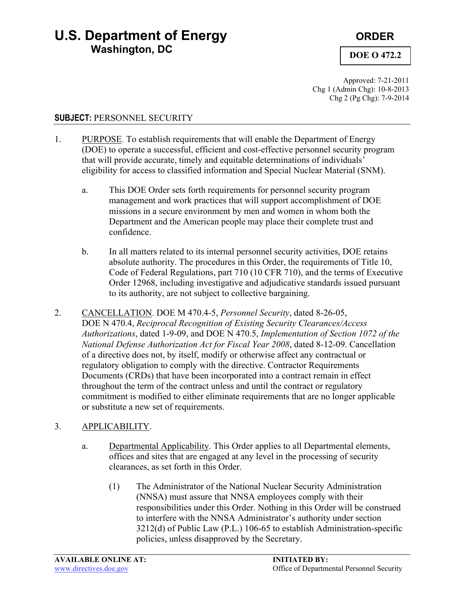## **U.S. Department of Energy <b>CENTIFY** ORDER **Washington, DC**

### **DOE O 472.2**

Approved: 7-21-2011 Chg 1 (Admin Chg): 10-8-2013 Chg 2 (Pg Chg): 7-9-2014

#### **SUBJECT:** PERSONNEL SECURITY

- 1. PURPOSE. To establish requirements that will enable the Department of Energy (DOE) to operate a successful, efficient and cost-effective personnel security program that will provide accurate, timely and equitable determinations of individuals' eligibility for access to classified information and Special Nuclear Material (SNM).
	- a. This DOE Order sets forth requirements for personnel security program management and work practices that will support accomplishment of DOE missions in a secure environment by men and women in whom both the Department and the American people may place their complete trust and confidence.
	- b. In all matters related to its internal personnel security activities, DOE retains absolute authority. The procedures in this Order, the requirements of Title 10, Code of Federal Regulations, part 710 (10 CFR 710), and the terms of Executive Order 12968, including investigative and adjudicative standards issued pursuant to its authority, are not subject to collective bargaining.
- 2. CANCELLATION. DOE M 470.4-5, *Personnel Security*, dated 8-26-05, DOE N 470.4, *Reciprocal Recognition of Existing Security Clearances/Access Authorizations*, dated 1-9-09, and DOE N 470.5, *Implementation of Section 1072 of the National Defense Authorization Act for Fiscal Year 2008*, dated 8-12-09. Cancellation of a directive does not, by itself, modify or otherwise affect any contractual or regulatory obligation to comply with the directive. Contractor Requirements Documents (CRDs) that have been incorporated into a contract remain in effect throughout the term of the contract unless and until the contract or regulatory commitment is modified to either eliminate requirements that are no longer applicable or substitute a new set of requirements.

### 3. APPLICABILITY.

- a. Departmental Applicability. This Order applies to all Departmental elements, offices and sites that are engaged at any level in the processing of security clearances, as set forth in this Order.
	- (1) The Administrator of the National Nuclear Security Administration (NNSA) must assure that NNSA employees comply with their responsibilities under this Order. Nothing in this Order will be construed to interfere with the NNSA Administrator's authority under section 3212(d) of Public Law (P.L.) 106-65 to establish Administration-specific policies, unless disapproved by the Secretary.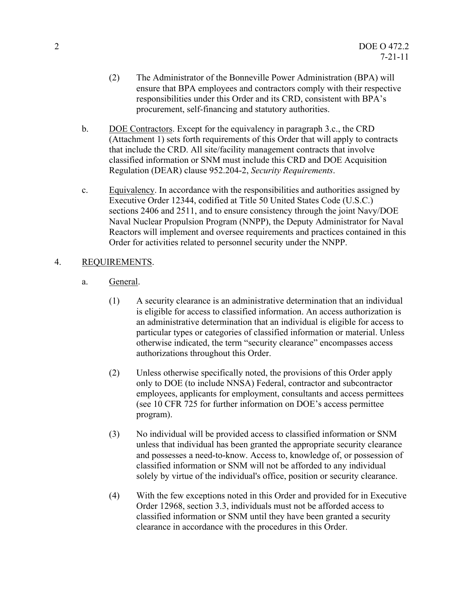- (2) The Administrator of the Bonneville Power Administration (BPA) will ensure that BPA employees and contractors comply with their respective responsibilities under this Order and its CRD, consistent with BPA's procurement, self-financing and statutory authorities.
- b. DOE Contractors. Except for the equivalency in paragraph 3.c., the CRD (Attachment 1) sets forth requirements of this Order that will apply to contracts that include the CRD. All site/facility management contracts that involve classified information or SNM must include this CRD and DOE Acquisition Regulation (DEAR) clause 952.204-2, *Security Requirements*.
- c. Equivalency. In accordance with the responsibilities and authorities assigned by Executive Order 12344, codified at Title 50 United States Code (U.S.C.) sections 2406 and 2511, and to ensure consistency through the joint Navy/DOE Naval Nuclear Propulsion Program (NNPP), the Deputy Administrator for Naval Reactors will implement and oversee requirements and practices contained in this Order for activities related to personnel security under the NNPP.

#### 4. REQUIREMENTS.

- a. General.
	- (1) A security clearance is an administrative determination that an individual is eligible for access to classified information. An access authorization is an administrative determination that an individual is eligible for access to particular types or categories of classified information or material. Unless otherwise indicated, the term "security clearance" encompasses access authorizations throughout this Order.
	- (2) Unless otherwise specifically noted, the provisions of this Order apply only to DOE (to include NNSA) Federal, contractor and subcontractor employees, applicants for employment, consultants and access permittees (see 10 CFR 725 for further information on DOE's access permittee program).
	- (3) No individual will be provided access to classified information or SNM unless that individual has been granted the appropriate security clearance and possesses a need-to-know. Access to, knowledge of, or possession of classified information or SNM will not be afforded to any individual solely by virtue of the individual's office, position or security clearance.
	- (4) With the few exceptions noted in this Order and provided for in Executive Order 12968, section 3.3, individuals must not be afforded access to classified information or SNM until they have been granted a security clearance in accordance with the procedures in this Order.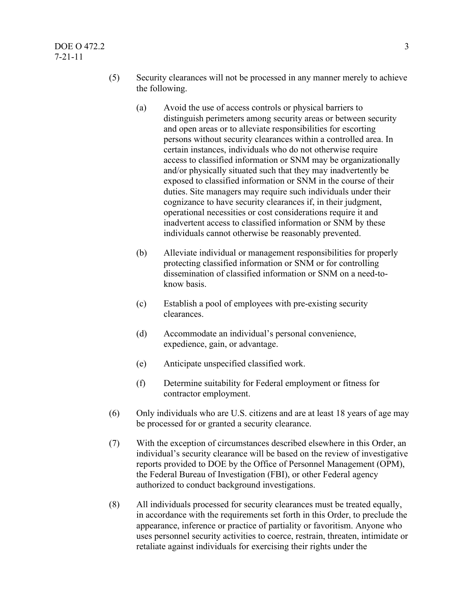#### $\overline{DOE}$  O 472.2 3 7-21-11

- (5) Security clearances will not be processed in any manner merely to achieve the following.
	- (a) Avoid the use of access controls or physical barriers to distinguish perimeters among security areas or between security and open areas or to alleviate responsibilities for escorting persons without security clearances within a controlled area. In certain instances, individuals who do not otherwise require access to classified information or SNM may be organizationally and/or physically situated such that they may inadvertently be exposed to classified information or SNM in the course of their duties. Site managers may require such individuals under their cognizance to have security clearances if, in their judgment, operational necessities or cost considerations require it and inadvertent access to classified information or SNM by these individuals cannot otherwise be reasonably prevented.
	- (b) Alleviate individual or management responsibilities for properly protecting classified information or SNM or for controlling dissemination of classified information or SNM on a need-toknow basis.
	- (c) Establish a pool of employees with pre-existing security clearances.
	- (d) Accommodate an individual's personal convenience, expedience, gain, or advantage.
	- (e) Anticipate unspecified classified work.
	- (f) Determine suitability for Federal employment or fitness for contractor employment.
- (6) Only individuals who are U.S. citizens and are at least 18 years of age may be processed for or granted a security clearance.
- (7) With the exception of circumstances described elsewhere in this Order, an individual's security clearance will be based on the review of investigative reports provided to DOE by the Office of Personnel Management (OPM), the Federal Bureau of Investigation (FBI), or other Federal agency authorized to conduct background investigations.
- (8) All individuals processed for security clearances must be treated equally, in accordance with the requirements set forth in this Order, to preclude the appearance, inference or practice of partiality or favoritism. Anyone who uses personnel security activities to coerce, restrain, threaten, intimidate or retaliate against individuals for exercising their rights under the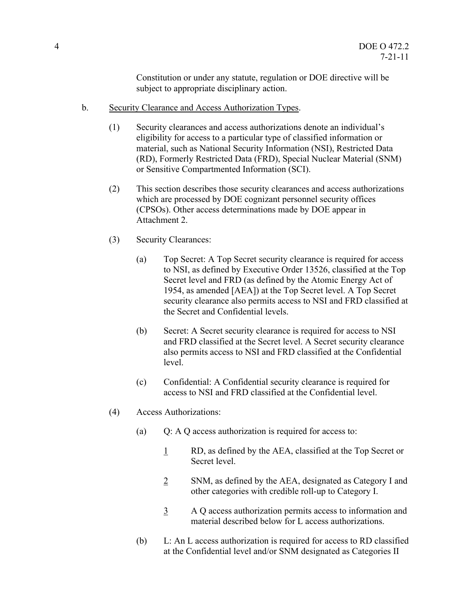Constitution or under any statute, regulation or DOE directive will be subject to appropriate disciplinary action.

- b. Security Clearance and Access Authorization Types.
	- (1) Security clearances and access authorizations denote an individual's eligibility for access to a particular type of classified information or material, such as National Security Information (NSI), Restricted Data (RD), Formerly Restricted Data (FRD), Special Nuclear Material (SNM) or Sensitive Compartmented Information (SCI).
	- (2) This section describes those security clearances and access authorizations which are processed by DOE cognizant personnel security offices (CPSOs). Other access determinations made by DOE appear in Attachment 2.
	- (3) Security Clearances:
		- (a) Top Secret: A Top Secret security clearance is required for access to NSI, as defined by Executive Order 13526, classified at the Top Secret level and FRD (as defined by the Atomic Energy Act of 1954, as amended [AEA]) at the Top Secret level. A Top Secret security clearance also permits access to NSI and FRD classified at the Secret and Confidential levels.
		- (b) Secret: A Secret security clearance is required for access to NSI and FRD classified at the Secret level. A Secret security clearance also permits access to NSI and FRD classified at the Confidential level.
		- (c) Confidential: A Confidential security clearance is required for access to NSI and FRD classified at the Confidential level.
	- (4) Access Authorizations:
		- (a) Q: A Q access authorization is required for access to:
			- 1 RD, as defined by the AEA, classified at the Top Secret or Secret level.
			- 2 SNM, as defined by the AEA, designated as Category I and other categories with credible roll-up to Category I.
			- 3 A Q access authorization permits access to information and material described below for L access authorizations.
		- (b) L: An L access authorization is required for access to RD classified at the Confidential level and/or SNM designated as Categories II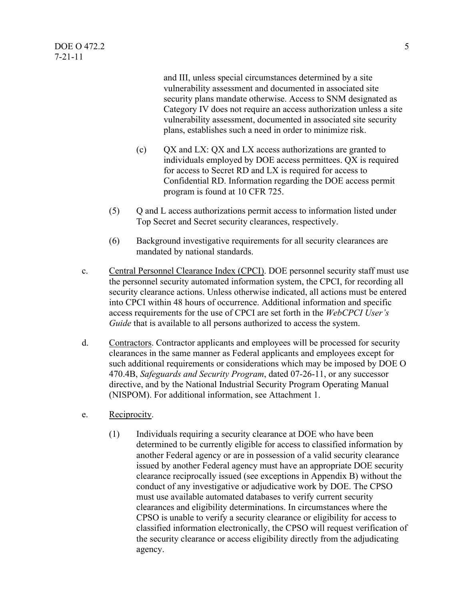and III, unless special circumstances determined by a site vulnerability assessment and documented in associated site security plans mandate otherwise. Access to SNM designated as Category IV does not require an access authorization unless a site vulnerability assessment, documented in associated site security plans, establishes such a need in order to minimize risk.

- (c) QX and LX: QX and LX access authorizations are granted to individuals employed by DOE access permittees. QX is required for access to Secret RD and LX is required for access to Confidential RD. Information regarding the DOE access permit program is found at 10 CFR 725.
- (5) Q and L access authorizations permit access to information listed under Top Secret and Secret security clearances, respectively.
- (6) Background investigative requirements for all security clearances are mandated by national standards.
- c. Central Personnel Clearance Index (CPCI). DOE personnel security staff must use the personnel security automated information system, the CPCI, for recording all security clearance actions. Unless otherwise indicated, all actions must be entered into CPCI within 48 hours of occurrence. Additional information and specific access requirements for the use of CPCI are set forth in the *WebCPCI User's Guide* that is available to all persons authorized to access the system.
- d. Contractors. Contractor applicants and employees will be processed for security clearances in the same manner as Federal applicants and employees except for such additional requirements or considerations which may be imposed by DOE O 470.4B, *Safeguards and Security Program*, dated 07-26-11, or any successor directive, and by the National Industrial Security Program Operating Manual (NISPOM). For additional information, see Attachment 1.
- e. Reciprocity.
	- (1) Individuals requiring a security clearance at DOE who have been determined to be currently eligible for access to classified information by another Federal agency or are in possession of a valid security clearance issued by another Federal agency must have an appropriate DOE security clearance reciprocally issued (see exceptions in Appendix B) without the conduct of any investigative or adjudicative work by DOE. The CPSO must use available automated databases to verify current security clearances and eligibility determinations. In circumstances where the CPSO is unable to verify a security clearance or eligibility for access to classified information electronically, the CPSO will request verification of the security clearance or access eligibility directly from the adjudicating agency.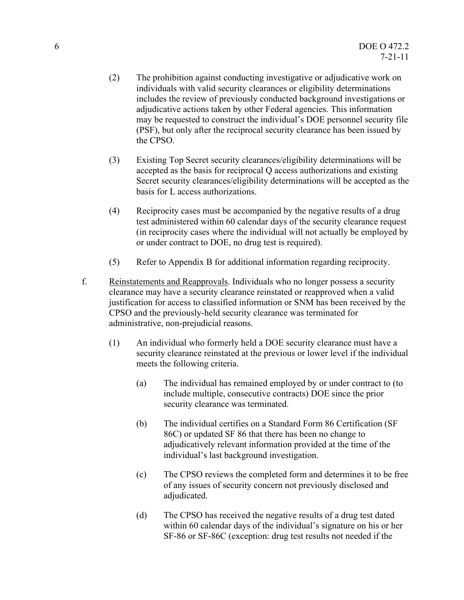- (2) The prohibition against conducting investigative or adjudicative work on individuals with valid security clearances or eligibility determinations includes the review of previously conducted background investigations or adjudicative actions taken by other Federal agencies. This information may be requested to construct the individual's DOE personnel security file (PSF), but only after the reciprocal security clearance has been issued by the CPSO.
- (3) Existing Top Secret security clearances/eligibility determinations will be accepted as the basis for reciprocal Q access authorizations and existing Secret security clearances/eligibility determinations will be accepted as the basis for L access authorizations.
- (4) Reciprocity cases must be accompanied by the negative results of a drug test administered within 60 calendar days of the security clearance request (in reciprocity cases where the individual will not actually be employed by or under contract to DOE, no drug test is required).
- (5) Refer to Appendix B for additional information regarding reciprocity.
- f. Reinstatements and Reapprovals. Individuals who no longer possess a security clearance may have a security clearance reinstated or reapproved when a valid justification for access to classified information or SNM has been received by the CPSO and the previously-held security clearance was terminated for administrative, non-prejudicial reasons.
	- (1) An individual who formerly held a DOE security clearance must have a security clearance reinstated at the previous or lower level if the individual meets the following criteria.
		- (a) The individual has remained employed by or under contract to (to include multiple, consecutive contracts) DOE since the prior security clearance was terminated.
		- (b) The individual certifies on a Standard Form 86 Certification (SF 86C) or updated SF 86 that there has been no change to adjudicatively relevant information provided at the time of the individual's last background investigation.
		- (c) The CPSO reviews the completed form and determines it to be free of any issues of security concern not previously disclosed and adjudicated.
		- (d) The CPSO has received the negative results of a drug test dated within 60 calendar days of the individual's signature on his or her SF-86 or SF-86C (exception: drug test results not needed if the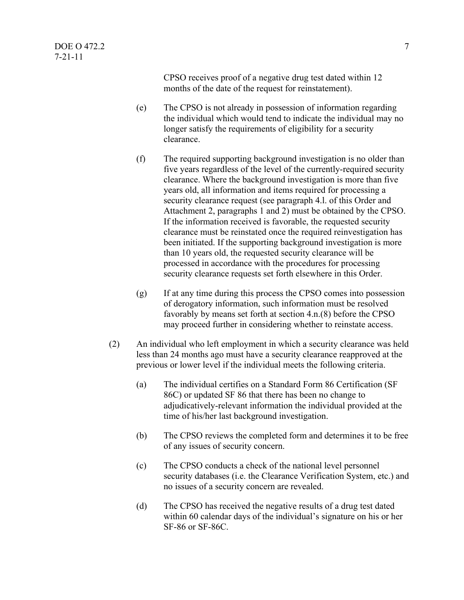CPSO receives proof of a negative drug test dated within 12 months of the date of the request for reinstatement).

- (e) The CPSO is not already in possession of information regarding the individual which would tend to indicate the individual may no longer satisfy the requirements of eligibility for a security clearance.
- (f) The required supporting background investigation is no older than five years regardless of the level of the currently-required security clearance. Where the background investigation is more than five years old, all information and items required for processing a security clearance request (see paragraph 4.l. of this Order and Attachment 2, paragraphs 1 and 2) must be obtained by the CPSO. If the information received is favorable, the requested security clearance must be reinstated once the required reinvestigation has been initiated. If the supporting background investigation is more than 10 years old, the requested security clearance will be processed in accordance with the procedures for processing security clearance requests set forth elsewhere in this Order.
- (g) If at any time during this process the CPSO comes into possession of derogatory information, such information must be resolved favorably by means set forth at section 4.n.(8) before the CPSO may proceed further in considering whether to reinstate access.
- (2) An individual who left employment in which a security clearance was held less than 24 months ago must have a security clearance reapproved at the previous or lower level if the individual meets the following criteria.
	- (a) The individual certifies on a Standard Form 86 Certification (SF 86C) or updated SF 86 that there has been no change to adjudicatively-relevant information the individual provided at the time of his/her last background investigation.
	- (b) The CPSO reviews the completed form and determines it to be free of any issues of security concern.
	- (c) The CPSO conducts a check of the national level personnel security databases (i.e. the Clearance Verification System, etc.) and no issues of a security concern are revealed.
	- (d) The CPSO has received the negative results of a drug test dated within 60 calendar days of the individual's signature on his or her SF-86 or SF-86C.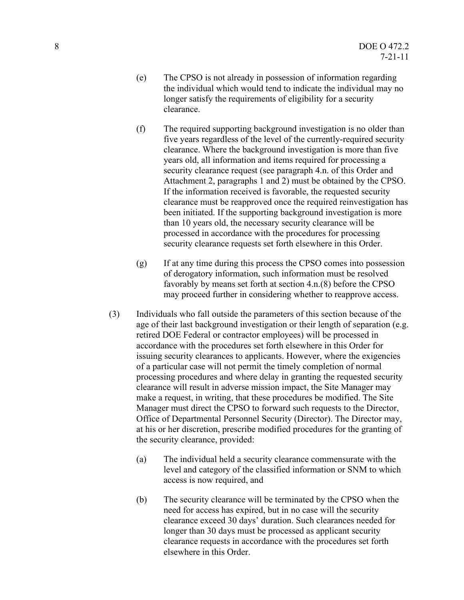- (e) The CPSO is not already in possession of information regarding the individual which would tend to indicate the individual may no longer satisfy the requirements of eligibility for a security clearance.
- (f) The required supporting background investigation is no older than five years regardless of the level of the currently-required security clearance. Where the background investigation is more than five years old, all information and items required for processing a security clearance request (see paragraph 4.n. of this Order and Attachment 2, paragraphs 1 and 2) must be obtained by the CPSO. If the information received is favorable, the requested security clearance must be reapproved once the required reinvestigation has been initiated. If the supporting background investigation is more than 10 years old, the necessary security clearance will be processed in accordance with the procedures for processing security clearance requests set forth elsewhere in this Order.
- (g) If at any time during this process the CPSO comes into possession of derogatory information, such information must be resolved favorably by means set forth at section 4.n.(8) before the CPSO may proceed further in considering whether to reapprove access.
- (3) Individuals who fall outside the parameters of this section because of the age of their last background investigation or their length of separation (e.g. retired DOE Federal or contractor employees) will be processed in accordance with the procedures set forth elsewhere in this Order for issuing security clearances to applicants. However, where the exigencies of a particular case will not permit the timely completion of normal processing procedures and where delay in granting the requested security clearance will result in adverse mission impact, the Site Manager may make a request, in writing, that these procedures be modified. The Site Manager must direct the CPSO to forward such requests to the Director, Office of Departmental Personnel Security (Director). The Director may, at his or her discretion, prescribe modified procedures for the granting of the security clearance, provided:
	- (a) The individual held a security clearance commensurate with the level and category of the classified information or SNM to which access is now required, and
	- (b) The security clearance will be terminated by the CPSO when the need for access has expired, but in no case will the security clearance exceed 30 days' duration. Such clearances needed for longer than 30 days must be processed as applicant security clearance requests in accordance with the procedures set forth elsewhere in this Order.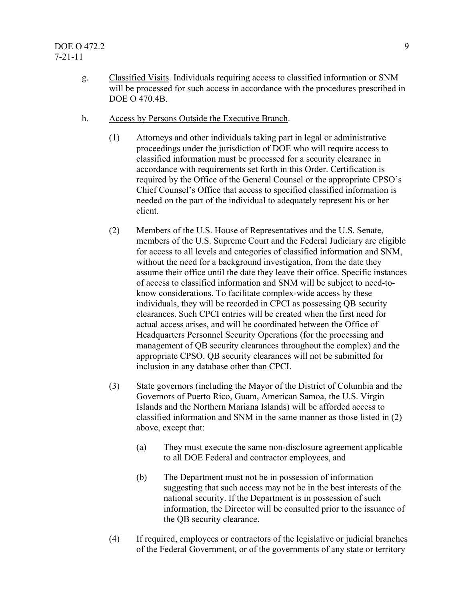- g. Classified Visits. Individuals requiring access to classified information or SNM will be processed for such access in accordance with the procedures prescribed in DOE O 470.4B.
- h. Access by Persons Outside the Executive Branch.
	- (1) Attorneys and other individuals taking part in legal or administrative proceedings under the jurisdiction of DOE who will require access to classified information must be processed for a security clearance in accordance with requirements set forth in this Order. Certification is required by the Office of the General Counsel or the appropriate CPSO's Chief Counsel's Office that access to specified classified information is needed on the part of the individual to adequately represent his or her client.
	- (2) Members of the U.S. House of Representatives and the U.S. Senate, members of the U.S. Supreme Court and the Federal Judiciary are eligible for access to all levels and categories of classified information and SNM, without the need for a background investigation, from the date they assume their office until the date they leave their office. Specific instances of access to classified information and SNM will be subject to need-toknow considerations. To facilitate complex-wide access by these individuals, they will be recorded in CPCI as possessing QB security clearances. Such CPCI entries will be created when the first need for actual access arises, and will be coordinated between the Office of Headquarters Personnel Security Operations (for the processing and management of QB security clearances throughout the complex) and the appropriate CPSO. QB security clearances will not be submitted for inclusion in any database other than CPCI.
	- (3) State governors (including the Mayor of the District of Columbia and the Governors of Puerto Rico, Guam, American Samoa, the U.S. Virgin Islands and the Northern Mariana Islands) will be afforded access to classified information and SNM in the same manner as those listed in (2) above, except that:
		- (a) They must execute the same non-disclosure agreement applicable to all DOE Federal and contractor employees, and
		- (b) The Department must not be in possession of information suggesting that such access may not be in the best interests of the national security. If the Department is in possession of such information, the Director will be consulted prior to the issuance of the QB security clearance.
	- (4) If required, employees or contractors of the legislative or judicial branches of the Federal Government, or of the governments of any state or territory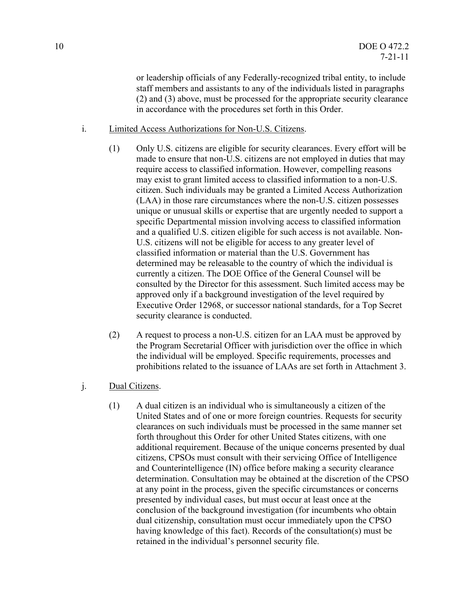or leadership officials of any Federally-recognized tribal entity, to include staff members and assistants to any of the individuals listed in paragraphs (2) and (3) above, must be processed for the appropriate security clearance in accordance with the procedures set forth in this Order.

- i. Limited Access Authorizations for Non-U.S. Citizens.
	- (1) Only U.S. citizens are eligible for security clearances. Every effort will be made to ensure that non-U.S. citizens are not employed in duties that may require access to classified information. However, compelling reasons may exist to grant limited access to classified information to a non-U.S. citizen. Such individuals may be granted a Limited Access Authorization (LAA) in those rare circumstances where the non-U.S. citizen possesses unique or unusual skills or expertise that are urgently needed to support a specific Departmental mission involving access to classified information and a qualified U.S. citizen eligible for such access is not available. Non-U.S. citizens will not be eligible for access to any greater level of classified information or material than the U.S. Government has determined may be releasable to the country of which the individual is currently a citizen. The DOE Office of the General Counsel will be consulted by the Director for this assessment. Such limited access may be approved only if a background investigation of the level required by Executive Order 12968, or successor national standards, for a Top Secret security clearance is conducted.
	- (2) A request to process a non-U.S. citizen for an LAA must be approved by the Program Secretarial Officer with jurisdiction over the office in which the individual will be employed. Specific requirements, processes and prohibitions related to the issuance of LAAs are set forth in Attachment 3.

#### j. Dual Citizens.

(1) A dual citizen is an individual who is simultaneously a citizen of the United States and of one or more foreign countries. Requests for security clearances on such individuals must be processed in the same manner set forth throughout this Order for other United States citizens, with one additional requirement. Because of the unique concerns presented by dual citizens, CPSOs must consult with their servicing Office of Intelligence and Counterintelligence (IN) office before making a security clearance determination. Consultation may be obtained at the discretion of the CPSO at any point in the process, given the specific circumstances or concerns presented by individual cases, but must occur at least once at the conclusion of the background investigation (for incumbents who obtain dual citizenship, consultation must occur immediately upon the CPSO having knowledge of this fact). Records of the consultation(s) must be retained in the individual's personnel security file.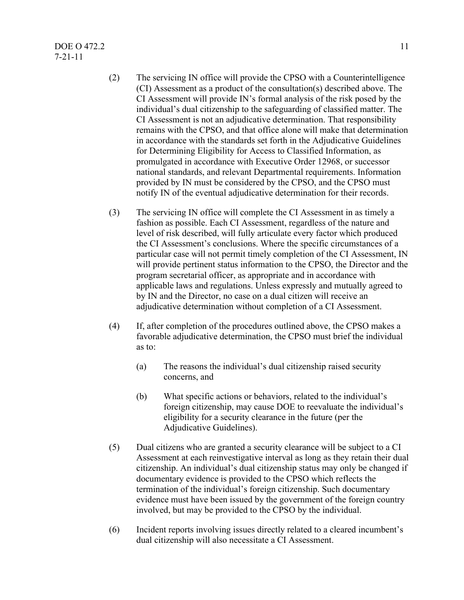- (2) The servicing IN office will provide the CPSO with a Counterintelligence (CI) Assessment as a product of the consultation(s) described above. The CI Assessment will provide IN's formal analysis of the risk posed by the individual's dual citizenship to the safeguarding of classified matter. The CI Assessment is not an adjudicative determination. That responsibility remains with the CPSO, and that office alone will make that determination in accordance with the standards set forth in the Adjudicative Guidelines for Determining Eligibility for Access to Classified Information, as promulgated in accordance with Executive Order 12968, or successor national standards, and relevant Departmental requirements. Information provided by IN must be considered by the CPSO, and the CPSO must notify IN of the eventual adjudicative determination for their records.
- (3) The servicing IN office will complete the CI Assessment in as timely a fashion as possible. Each CI Assessment, regardless of the nature and level of risk described, will fully articulate every factor which produced the CI Assessment's conclusions. Where the specific circumstances of a particular case will not permit timely completion of the CI Assessment, IN will provide pertinent status information to the CPSO, the Director and the program secretarial officer, as appropriate and in accordance with applicable laws and regulations. Unless expressly and mutually agreed to by IN and the Director, no case on a dual citizen will receive an adjudicative determination without completion of a CI Assessment.
- (4) If, after completion of the procedures outlined above, the CPSO makes a favorable adjudicative determination, the CPSO must brief the individual as to:
	- (a) The reasons the individual's dual citizenship raised security concerns, and
	- (b) What specific actions or behaviors, related to the individual's foreign citizenship, may cause DOE to reevaluate the individual's eligibility for a security clearance in the future (per the Adjudicative Guidelines).
- (5) Dual citizens who are granted a security clearance will be subject to a CI Assessment at each reinvestigative interval as long as they retain their dual citizenship. An individual's dual citizenship status may only be changed if documentary evidence is provided to the CPSO which reflects the termination of the individual's foreign citizenship. Such documentary evidence must have been issued by the government of the foreign country involved, but may be provided to the CPSO by the individual.
- (6) Incident reports involving issues directly related to a cleared incumbent's dual citizenship will also necessitate a CI Assessment.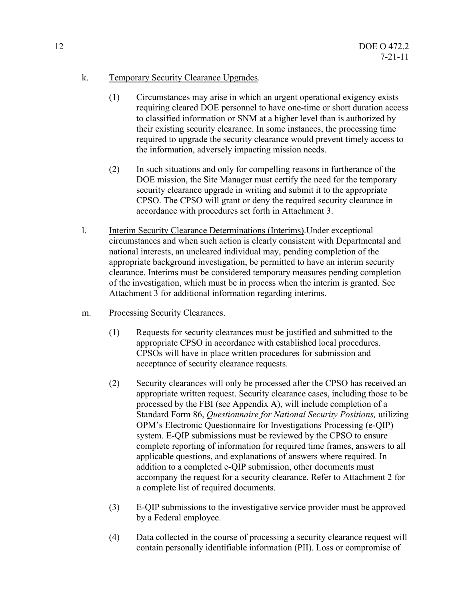#### k. Temporary Security Clearance Upgrades.

- (1) Circumstances may arise in which an urgent operational exigency exists requiring cleared DOE personnel to have one-time or short duration access to classified information or SNM at a higher level than is authorized by their existing security clearance. In some instances, the processing time required to upgrade the security clearance would prevent timely access to the information, adversely impacting mission needs.
- (2) In such situations and only for compelling reasons in furtherance of the DOE mission, the Site Manager must certify the need for the temporary security clearance upgrade in writing and submit it to the appropriate CPSO. The CPSO will grant or deny the required security clearance in accordance with procedures set forth in Attachment 3.
- l. Interim Security Clearance Determinations (Interims).Under exceptional circumstances and when such action is clearly consistent with Departmental and national interests, an uncleared individual may, pending completion of the appropriate background investigation, be permitted to have an interim security clearance. Interims must be considered temporary measures pending completion of the investigation, which must be in process when the interim is granted. See Attachment 3 for additional information regarding interims.
- m. Processing Security Clearances.
	- (1) Requests for security clearances must be justified and submitted to the appropriate CPSO in accordance with established local procedures. CPSOs will have in place written procedures for submission and acceptance of security clearance requests.
	- (2) Security clearances will only be processed after the CPSO has received an appropriate written request. Security clearance cases, including those to be processed by the FBI (see Appendix A), will include completion of a Standard Form 86, *Questionnaire for National Security Positions,* utilizing OPM's Electronic Questionnaire for Investigations Processing (e-QIP) system. E-QIP submissions must be reviewed by the CPSO to ensure complete reporting of information for required time frames, answers to all applicable questions, and explanations of answers where required. In addition to a completed e-QIP submission, other documents must accompany the request for a security clearance. Refer to Attachment 2 for a complete list of required documents.
	- (3) E-QIP submissions to the investigative service provider must be approved by a Federal employee.
	- (4) Data collected in the course of processing a security clearance request will contain personally identifiable information (PII). Loss or compromise of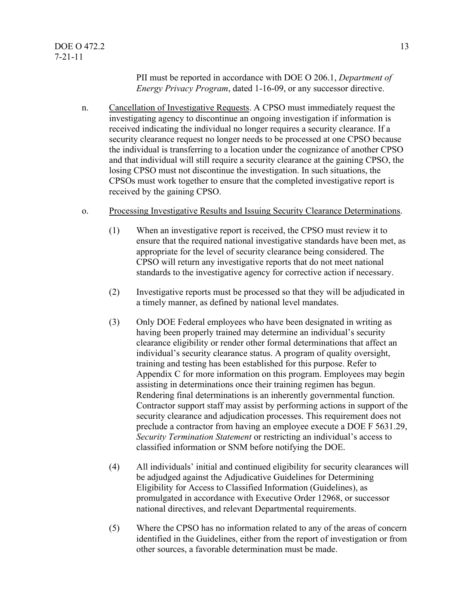PII must be reported in accordance with DOE O 206.1, *Department of Energy Privacy Program*, dated 1-16-09, or any successor directive.

- n. Cancellation of Investigative Requests. A CPSO must immediately request the investigating agency to discontinue an ongoing investigation if information is received indicating the individual no longer requires a security clearance. If a security clearance request no longer needs to be processed at one CPSO because the individual is transferring to a location under the cognizance of another CPSO and that individual will still require a security clearance at the gaining CPSO, the losing CPSO must not discontinue the investigation. In such situations, the CPSOs must work together to ensure that the completed investigative report is received by the gaining CPSO.
- o. Processing Investigative Results and Issuing Security Clearance Determinations.
	- (1) When an investigative report is received, the CPSO must review it to ensure that the required national investigative standards have been met, as appropriate for the level of security clearance being considered. The CPSO will return any investigative reports that do not meet national standards to the investigative agency for corrective action if necessary.
	- (2) Investigative reports must be processed so that they will be adjudicated in a timely manner, as defined by national level mandates.
	- (3) Only DOE Federal employees who have been designated in writing as having been properly trained may determine an individual's security clearance eligibility or render other formal determinations that affect an individual's security clearance status. A program of quality oversight, training and testing has been established for this purpose. Refer to Appendix C for more information on this program. Employees may begin assisting in determinations once their training regimen has begun. Rendering final determinations is an inherently governmental function. Contractor support staff may assist by performing actions in support of the security clearance and adjudication processes. This requirement does not preclude a contractor from having an employee execute a DOE F 5631.29, *Security Termination Statement* or restricting an individual's access to classified information or SNM before notifying the DOE.
	- (4) All individuals' initial and continued eligibility for security clearances will be adjudged against the Adjudicative Guidelines for Determining Eligibility for Access to Classified Information (Guidelines), as promulgated in accordance with Executive Order 12968, or successor national directives, and relevant Departmental requirements.
	- (5) Where the CPSO has no information related to any of the areas of concern identified in the Guidelines, either from the report of investigation or from other sources, a favorable determination must be made.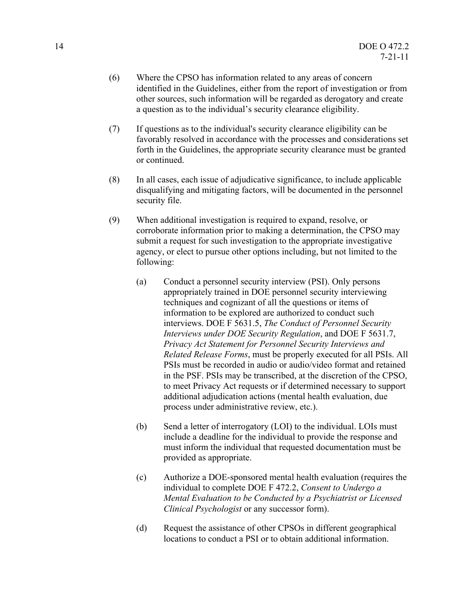- (6) Where the CPSO has information related to any areas of concern identified in the Guidelines, either from the report of investigation or from other sources, such information will be regarded as derogatory and create a question as to the individual's security clearance eligibility.
- (7) If questions as to the individual's security clearance eligibility can be favorably resolved in accordance with the processes and considerations set forth in the Guidelines, the appropriate security clearance must be granted or continued.
- (8) In all cases, each issue of adjudicative significance, to include applicable disqualifying and mitigating factors, will be documented in the personnel security file.
- (9) When additional investigation is required to expand, resolve, or corroborate information prior to making a determination, the CPSO may submit a request for such investigation to the appropriate investigative agency, or elect to pursue other options including, but not limited to the following:
	- (a) Conduct a personnel security interview (PSI). Only persons appropriately trained in DOE personnel security interviewing techniques and cognizant of all the questions or items of information to be explored are authorized to conduct such interviews. DOE F 5631.5, *The Conduct of Personnel Security Interviews under DOE Security Regulation*, and DOE F 5631.7, *Privacy Act Statement for Personnel Security Interviews and Related Release Forms*, must be properly executed for all PSIs. All PSIs must be recorded in audio or audio/video format and retained in the PSF. PSIs may be transcribed, at the discretion of the CPSO, to meet Privacy Act requests or if determined necessary to support additional adjudication actions (mental health evaluation, due process under administrative review, etc.).
	- (b) Send a letter of interrogatory (LOI) to the individual. LOIs must include a deadline for the individual to provide the response and must inform the individual that requested documentation must be provided as appropriate.
	- (c) Authorize a DOE-sponsored mental health evaluation (requires the individual to complete DOE F 472.2, *Consent to Undergo a Mental Evaluation to be Conducted by a Psychiatrist or Licensed Clinical Psychologist* or any successor form).
	- (d) Request the assistance of other CPSOs in different geographical locations to conduct a PSI or to obtain additional information.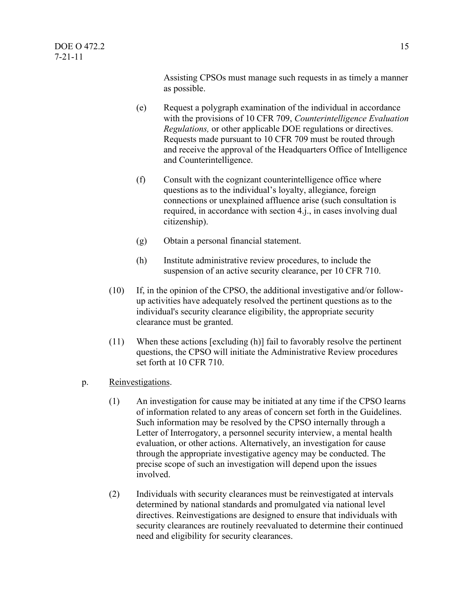Assisting CPSOs must manage such requests in as timely a manner as possible.

- (e) Request a polygraph examination of the individual in accordance with the provisions of 10 CFR 709, *Counterintelligence Evaluation Regulations,* or other applicable DOE regulations or directives. Requests made pursuant to 10 CFR 709 must be routed through and receive the approval of the Headquarters Office of Intelligence and Counterintelligence.
- (f) Consult with the cognizant counterintelligence office where questions as to the individual's loyalty, allegiance, foreign connections or unexplained affluence arise (such consultation is required, in accordance with section 4.j., in cases involving dual citizenship).
- (g) Obtain a personal financial statement.
- (h) Institute administrative review procedures, to include the suspension of an active security clearance, per 10 CFR 710.
- (10) If, in the opinion of the CPSO, the additional investigative and/or followup activities have adequately resolved the pertinent questions as to the individual's security clearance eligibility, the appropriate security clearance must be granted.
- (11) When these actions [excluding (h)] fail to favorably resolve the pertinent questions, the CPSO will initiate the Administrative Review procedures set forth at 10 CFR 710.
- p. Reinvestigations.
	- (1) An investigation for cause may be initiated at any time if the CPSO learns of information related to any areas of concern set forth in the Guidelines. Such information may be resolved by the CPSO internally through a Letter of Interrogatory, a personnel security interview, a mental health evaluation, or other actions. Alternatively, an investigation for cause through the appropriate investigative agency may be conducted. The precise scope of such an investigation will depend upon the issues involved.
	- (2) Individuals with security clearances must be reinvestigated at intervals determined by national standards and promulgated via national level directives. Reinvestigations are designed to ensure that individuals with security clearances are routinely reevaluated to determine their continued need and eligibility for security clearances.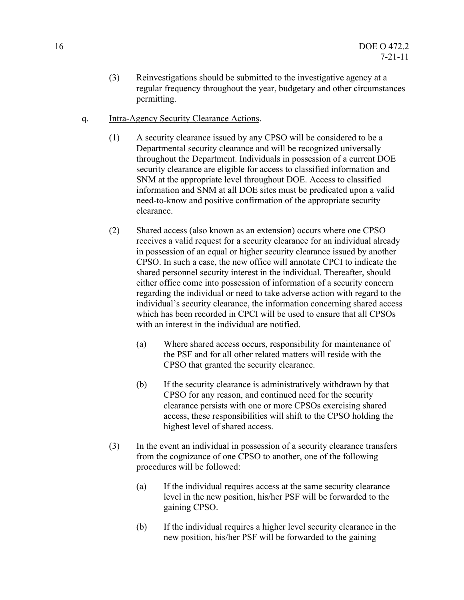- (3) Reinvestigations should be submitted to the investigative agency at a regular frequency throughout the year, budgetary and other circumstances permitting.
- q. Intra-Agency Security Clearance Actions.
	- (1) A security clearance issued by any CPSO will be considered to be a Departmental security clearance and will be recognized universally throughout the Department. Individuals in possession of a current DOE security clearance are eligible for access to classified information and SNM at the appropriate level throughout DOE. Access to classified information and SNM at all DOE sites must be predicated upon a valid need-to-know and positive confirmation of the appropriate security clearance.
	- (2) Shared access (also known as an extension) occurs where one CPSO receives a valid request for a security clearance for an individual already in possession of an equal or higher security clearance issued by another CPSO. In such a case, the new office will annotate CPCI to indicate the shared personnel security interest in the individual. Thereafter, should either office come into possession of information of a security concern regarding the individual or need to take adverse action with regard to the individual's security clearance, the information concerning shared access which has been recorded in CPCI will be used to ensure that all CPSOs with an interest in the individual are notified.
		- (a) Where shared access occurs, responsibility for maintenance of the PSF and for all other related matters will reside with the CPSO that granted the security clearance.
		- (b) If the security clearance is administratively withdrawn by that CPSO for any reason, and continued need for the security clearance persists with one or more CPSOs exercising shared access, these responsibilities will shift to the CPSO holding the highest level of shared access.
	- (3) In the event an individual in possession of a security clearance transfers from the cognizance of one CPSO to another, one of the following procedures will be followed:
		- (a) If the individual requires access at the same security clearance level in the new position, his/her PSF will be forwarded to the gaining CPSO.
		- (b) If the individual requires a higher level security clearance in the new position, his/her PSF will be forwarded to the gaining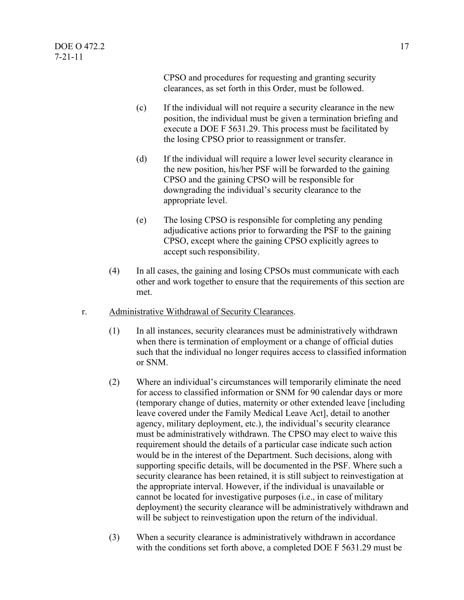CPSO and procedures for requesting and granting security clearances, as set forth in this Order, must be followed.

- (c) If the individual will not require a security clearance in the new position, the individual must be given a termination briefing and execute a DOE F 5631.29. This process must be facilitated by the losing CPSO prior to reassignment or transfer.
- (d) If the individual will require a lower level security clearance in the new position, his/her PSF will be forwarded to the gaining CPSO and the gaining CPSO will be responsible for downgrading the individual's security clearance to the appropriate level.
- (e) The losing CPSO is responsible for completing any pending adjudicative actions prior to forwarding the PSF to the gaining CPSO, except where the gaining CPSO explicitly agrees to accept such responsibility.
- (4) In all cases, the gaining and losing CPSOs must communicate with each other and work together to ensure that the requirements of this section are met.
- r. Administrative Withdrawal of Security Clearances.
	- (1) In all instances, security clearances must be administratively withdrawn when there is termination of employment or a change of official duties such that the individual no longer requires access to classified information or SNM.
	- (2) Where an individual's circumstances will temporarily eliminate the need for access to classified information or SNM for 90 calendar days or more (temporary change of duties, maternity or other extended leave [including leave covered under the Family Medical Leave Act], detail to another agency, military deployment, etc.), the individual's security clearance must be administratively withdrawn. The CPSO may elect to waive this requirement should the details of a particular case indicate such action would be in the interest of the Department. Such decisions, along with supporting specific details, will be documented in the PSF. Where such a security clearance has been retained, it is still subject to reinvestigation at the appropriate interval. However, if the individual is unavailable or cannot be located for investigative purposes (i.e., in case of military deployment) the security clearance will be administratively withdrawn and will be subject to reinvestigation upon the return of the individual.
	- (3) When a security clearance is administratively withdrawn in accordance with the conditions set forth above, a completed DOE F 5631.29 must be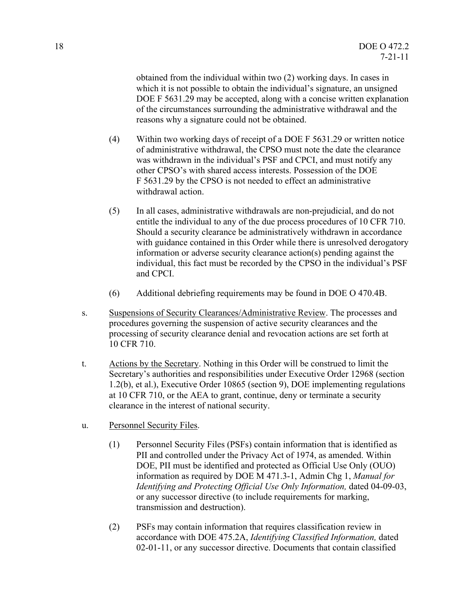obtained from the individual within two (2) working days. In cases in which it is not possible to obtain the individual's signature, an unsigned DOE F 5631.29 may be accepted, along with a concise written explanation of the circumstances surrounding the administrative withdrawal and the reasons why a signature could not be obtained.

- (4) Within two working days of receipt of a DOE F 5631.29 or written notice of administrative withdrawal, the CPSO must note the date the clearance was withdrawn in the individual's PSF and CPCI, and must notify any other CPSO's with shared access interests. Possession of the DOE F 5631.29 by the CPSO is not needed to effect an administrative withdrawal action.
- (5) In all cases, administrative withdrawals are non-prejudicial, and do not entitle the individual to any of the due process procedures of 10 CFR 710. Should a security clearance be administratively withdrawn in accordance with guidance contained in this Order while there is unresolved derogatory information or adverse security clearance action(s) pending against the individual, this fact must be recorded by the CPSO in the individual's PSF and CPCI.
- (6) Additional debriefing requirements may be found in DOE O 470.4B.
- s. Suspensions of Security Clearances/Administrative Review. The processes and procedures governing the suspension of active security clearances and the processing of security clearance denial and revocation actions are set forth at 10 CFR 710.
- t. Actions by the Secretary. Nothing in this Order will be construed to limit the Secretary's authorities and responsibilities under Executive Order 12968 (section 1.2(b), et al.), Executive Order 10865 (section 9), DOE implementing regulations at 10 CFR 710, or the AEA to grant, continue, deny or terminate a security clearance in the interest of national security.
- u. Personnel Security Files.
	- (1) Personnel Security Files (PSFs) contain information that is identified as PII and controlled under the Privacy Act of 1974, as amended. Within DOE, PII must be identified and protected as Official Use Only (OUO) information as required by DOE M 471.3-1, Admin Chg 1, *Manual for Identifying and Protecting Official Use Only Information,* dated 04-09-03, or any successor directive (to include requirements for marking, transmission and destruction).
	- (2) PSFs may contain information that requires classification review in accordance with DOE 475.2A, *Identifying Classified Information,* dated 02-01-11, or any successor directive. Documents that contain classified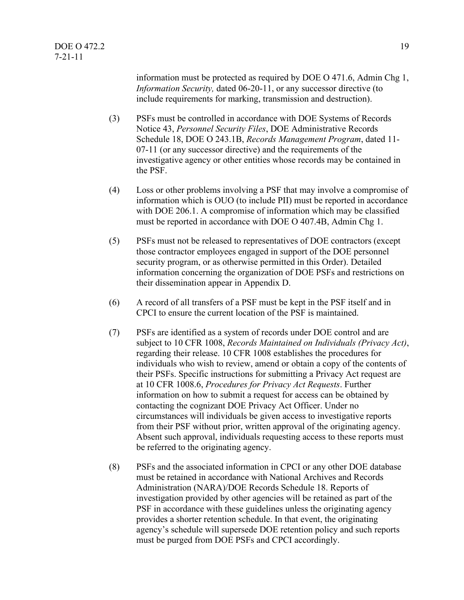information must be protected as required by DOE O 471.6, Admin Chg 1, *Information Security,* dated 06-20-11, or any successor directive (to include requirements for marking, transmission and destruction).

- (3) PSFs must be controlled in accordance with DOE Systems of Records Notice 43, *Personnel Security Files*, DOE Administrative Records Schedule 18, DOE O 243.1B, *Records Management Program*, dated 11- 07-11 (or any successor directive) and the requirements of the investigative agency or other entities whose records may be contained in the PSF.
- (4) Loss or other problems involving a PSF that may involve a compromise of information which is OUO (to include PII) must be reported in accordance with DOE 206.1. A compromise of information which may be classified must be reported in accordance with DOE O 407.4B, Admin Chg 1.
- (5) PSFs must not be released to representatives of DOE contractors (except those contractor employees engaged in support of the DOE personnel security program, or as otherwise permitted in this Order). Detailed information concerning the organization of DOE PSFs and restrictions on their dissemination appear in Appendix D.
- (6) A record of all transfers of a PSF must be kept in the PSF itself and in CPCI to ensure the current location of the PSF is maintained.
- (7) PSFs are identified as a system of records under DOE control and are subject to 10 CFR 1008, *Records Maintained on Individuals (Privacy Act)*, regarding their release. 10 CFR 1008 establishes the procedures for individuals who wish to review, amend or obtain a copy of the contents of their PSFs. Specific instructions for submitting a Privacy Act request are at 10 CFR 1008.6, *Procedures for Privacy Act Requests*. Further information on how to submit a request for access can be obtained by contacting the cognizant DOE Privacy Act Officer. Under no circumstances will individuals be given access to investigative reports from their PSF without prior, written approval of the originating agency. Absent such approval, individuals requesting access to these reports must be referred to the originating agency.
- (8) PSFs and the associated information in CPCI or any other DOE database must be retained in accordance with National Archives and Records Administration (NARA)/DOE Records Schedule 18. Reports of investigation provided by other agencies will be retained as part of the PSF in accordance with these guidelines unless the originating agency provides a shorter retention schedule. In that event, the originating agency's schedule will supersede DOE retention policy and such reports must be purged from DOE PSFs and CPCI accordingly.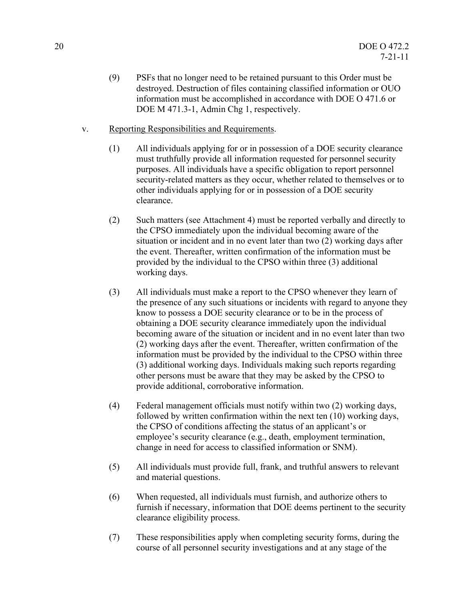- (9) PSFs that no longer need to be retained pursuant to this Order must be destroyed. Destruction of files containing classified information or OUO information must be accomplished in accordance with DOE O 471.6 or DOE M 471.3-1, Admin Chg 1, respectively.
- v. Reporting Responsibilities and Requirements.
	- (1) All individuals applying for or in possession of a DOE security clearance must truthfully provide all information requested for personnel security purposes. All individuals have a specific obligation to report personnel security-related matters as they occur, whether related to themselves or to other individuals applying for or in possession of a DOE security clearance.
	- (2) Such matters (see Attachment 4) must be reported verbally and directly to the CPSO immediately upon the individual becoming aware of the situation or incident and in no event later than two (2) working days after the event. Thereafter, written confirmation of the information must be provided by the individual to the CPSO within three (3) additional working days.
	- (3) All individuals must make a report to the CPSO whenever they learn of the presence of any such situations or incidents with regard to anyone they know to possess a DOE security clearance or to be in the process of obtaining a DOE security clearance immediately upon the individual becoming aware of the situation or incident and in no event later than two (2) working days after the event. Thereafter, written confirmation of the information must be provided by the individual to the CPSO within three (3) additional working days. Individuals making such reports regarding other persons must be aware that they may be asked by the CPSO to provide additional, corroborative information.
	- (4) Federal management officials must notify within two (2) working days, followed by written confirmation within the next ten (10) working days, the CPSO of conditions affecting the status of an applicant's or employee's security clearance (e.g., death, employment termination, change in need for access to classified information or SNM).
	- (5) All individuals must provide full, frank, and truthful answers to relevant and material questions.
	- (6) When requested, all individuals must furnish, and authorize others to furnish if necessary, information that DOE deems pertinent to the security clearance eligibility process.
	- (7) These responsibilities apply when completing security forms, during the course of all personnel security investigations and at any stage of the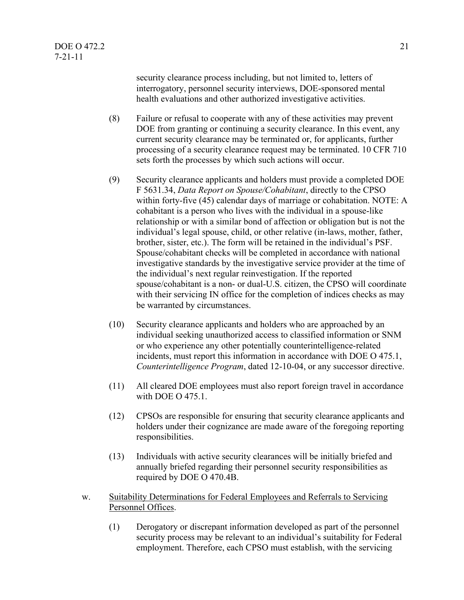security clearance process including, but not limited to, letters of interrogatory, personnel security interviews, DOE-sponsored mental health evaluations and other authorized investigative activities.

- (8) Failure or refusal to cooperate with any of these activities may prevent DOE from granting or continuing a security clearance. In this event, any current security clearance may be terminated or, for applicants, further processing of a security clearance request may be terminated. 10 CFR 710 sets forth the processes by which such actions will occur.
- (9) Security clearance applicants and holders must provide a completed DOE F 5631.34, *Data Report on Spouse/Cohabitant*, directly to the CPSO within forty-five (45) calendar days of marriage or cohabitation. NOTE: A cohabitant is a person who lives with the individual in a spouse-like relationship or with a similar bond of affection or obligation but is not the individual's legal spouse, child, or other relative (in-laws, mother, father, brother, sister, etc.). The form will be retained in the individual's PSF. Spouse/cohabitant checks will be completed in accordance with national investigative standards by the investigative service provider at the time of the individual's next regular reinvestigation. If the reported spouse/cohabitant is a non- or dual-U.S. citizen, the CPSO will coordinate with their servicing IN office for the completion of indices checks as may be warranted by circumstances.
- (10) Security clearance applicants and holders who are approached by an individual seeking unauthorized access to classified information or SNM or who experience any other potentially counterintelligence-related incidents, must report this information in accordance with DOE O 475.1, *Counterintelligence Program*, dated 12-10-04, or any successor directive.
- (11) All cleared DOE employees must also report foreign travel in accordance with DOE O 475.1.
- (12) CPSOs are responsible for ensuring that security clearance applicants and holders under their cognizance are made aware of the foregoing reporting responsibilities.
- (13) Individuals with active security clearances will be initially briefed and annually briefed regarding their personnel security responsibilities as required by DOE O 470.4B.
- w. Suitability Determinations for Federal Employees and Referrals to Servicing Personnel Offices.
	- (1) Derogatory or discrepant information developed as part of the personnel security process may be relevant to an individual's suitability for Federal employment. Therefore, each CPSO must establish, with the servicing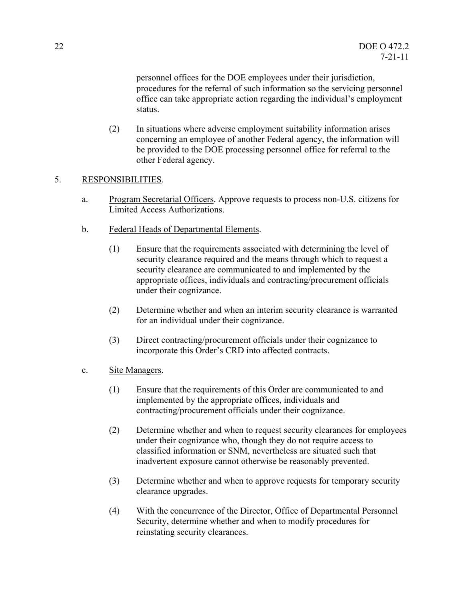personnel offices for the DOE employees under their jurisdiction, procedures for the referral of such information so the servicing personnel office can take appropriate action regarding the individual's employment status.

(2) In situations where adverse employment suitability information arises concerning an employee of another Federal agency, the information will be provided to the DOE processing personnel office for referral to the other Federal agency.

#### 5. RESPONSIBILITIES.

- a. Program Secretarial Officers. Approve requests to process non-U.S. citizens for Limited Access Authorizations.
- b. Federal Heads of Departmental Elements.
	- (1) Ensure that the requirements associated with determining the level of security clearance required and the means through which to request a security clearance are communicated to and implemented by the appropriate offices, individuals and contracting/procurement officials under their cognizance.
	- (2) Determine whether and when an interim security clearance is warranted for an individual under their cognizance.
	- (3) Direct contracting/procurement officials under their cognizance to incorporate this Order's CRD into affected contracts.
- c. Site Managers.
	- (1) Ensure that the requirements of this Order are communicated to and implemented by the appropriate offices, individuals and contracting/procurement officials under their cognizance.
	- (2) Determine whether and when to request security clearances for employees under their cognizance who, though they do not require access to classified information or SNM, nevertheless are situated such that inadvertent exposure cannot otherwise be reasonably prevented.
	- (3) Determine whether and when to approve requests for temporary security clearance upgrades.
	- (4) With the concurrence of the Director, Office of Departmental Personnel Security, determine whether and when to modify procedures for reinstating security clearances.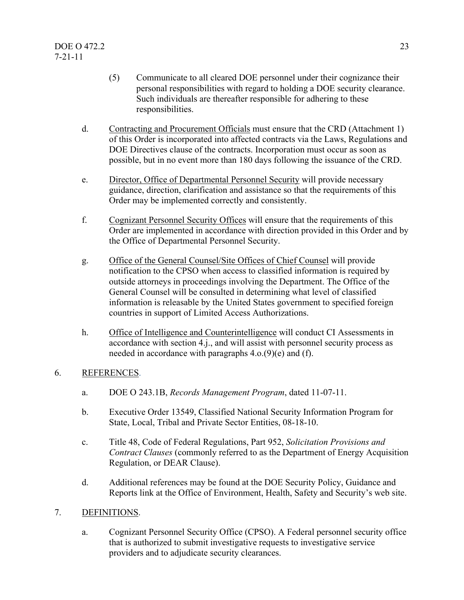- (5) Communicate to all cleared DOE personnel under their cognizance their personal responsibilities with regard to holding a DOE security clearance. Such individuals are thereafter responsible for adhering to these responsibilities.
- d. Contracting and Procurement Officials must ensure that the CRD (Attachment 1) of this Order is incorporated into affected contracts via the Laws, Regulations and DOE Directives clause of the contracts. Incorporation must occur as soon as possible, but in no event more than 180 days following the issuance of the CRD.
- e. Director, Office of Departmental Personnel Security will provide necessary guidance, direction, clarification and assistance so that the requirements of this Order may be implemented correctly and consistently.
- f. Cognizant Personnel Security Offices will ensure that the requirements of this Order are implemented in accordance with direction provided in this Order and by the Office of Departmental Personnel Security.
- g. Office of the General Counsel/Site Offices of Chief Counsel will provide notification to the CPSO when access to classified information is required by outside attorneys in proceedings involving the Department. The Office of the General Counsel will be consulted in determining what level of classified information is releasable by the United States government to specified foreign countries in support of Limited Access Authorizations.
- h. Office of Intelligence and Counterintelligence will conduct CI Assessments in accordance with section 4.j., and will assist with personnel security process as needed in accordance with paragraphs 4.o.(9)(e) and (f).

#### 6. REFERENCES.

- a. DOE O 243.1B, *Records Management Program*, dated 11-07-11.
- b. Executive Order 13549, Classified National Security Information Program for State, Local, Tribal and Private Sector Entities, 08-18-10.
- c. Title 48, Code of Federal Regulations, Part 952, *Solicitation Provisions and Contract Clauses* (commonly referred to as the Department of Energy Acquisition Regulation, or DEAR Clause).
- d. Additional references may be found at the DOE Security Policy, Guidance and Reports link at the Office of Environment, Health, Safety and Security's web site.

#### 7. DEFINITIONS.

a. Cognizant Personnel Security Office (CPSO). A Federal personnel security office that is authorized to submit investigative requests to investigative service providers and to adjudicate security clearances.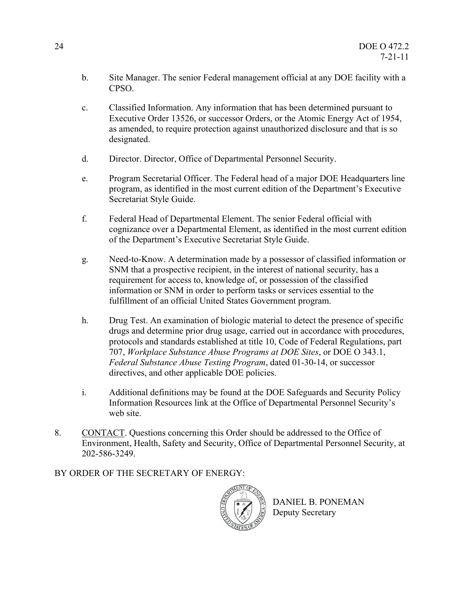- b. Site Manager. The senior Federal management official at any DOE facility with a CPSO.
- c. Classified Information. Any information that has been determined pursuant to Executive Order 13526, or successor Orders, or the Atomic Energy Act of 1954, as amended, to require protection against unauthorized disclosure and that is so designated.
- d. Director. Director, Office of Departmental Personnel Security.
- e. Program Secretarial Officer. The Federal head of a major DOE Headquarters line program, as identified in the most current edition of the Department's Executive Secretariat Style Guide.
- f. Federal Head of Departmental Element. The senior Federal official with cognizance over a Departmental Element, as identified in the most current edition of the Department's Executive Secretariat Style Guide.
- g. Need-to-Know. A determination made by a possessor of classified information or SNM that a prospective recipient, in the interest of national security, has a requirement for access to, knowledge of, or possession of the classified information or SNM in order to perform tasks or services essential to the fulfillment of an official United States Government program.
- h. Drug Test. An examination of biologic material to detect the presence of specific drugs and determine prior drug usage, carried out in accordance with procedures, protocols and standards established at title 10, Code of Federal Regulations, part 707, *Workplace Substance Abuse Programs at DOE Sites*, or DOE O 343.1, *Federal Substance Abuse Testing Program*, dated 01-30-14, or successor directives, and other applicable DOE policies.
- i. Additional definitions may be found at the DOE Safeguards and Security Policy Information Resources link at the Office of Departmental Personnel Security's web site.
- 8. CONTACT. Questions concerning this Order should be addressed to the Office of Environment, Health, Safety and Security, Office of Departmental Personnel Security, at 202-586-3249.

BY ORDER OF THE SECRETARY OF ENERGY:



DANIEL B. PONEMAN Deputy Secretary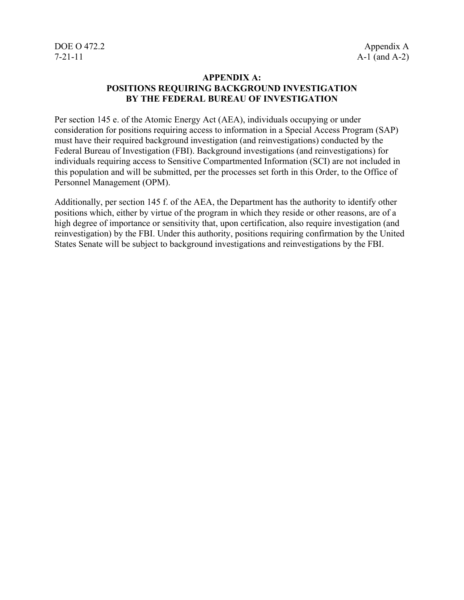#### **APPENDIX A: POSITIONS REQUIRING BACKGROUND INVESTIGATION BY THE FEDERAL BUREAU OF INVESTIGATION**

Per section 145 e. of the Atomic Energy Act (AEA), individuals occupying or under consideration for positions requiring access to information in a Special Access Program (SAP) must have their required background investigation (and reinvestigations) conducted by the Federal Bureau of Investigation (FBI). Background investigations (and reinvestigations) for individuals requiring access to Sensitive Compartmented Information (SCI) are not included in this population and will be submitted, per the processes set forth in this Order, to the Office of Personnel Management (OPM).

Additionally, per section 145 f. of the AEA, the Department has the authority to identify other positions which, either by virtue of the program in which they reside or other reasons, are of a high degree of importance or sensitivity that, upon certification, also require investigation (and reinvestigation) by the FBI. Under this authority, positions requiring confirmation by the United States Senate will be subject to background investigations and reinvestigations by the FBI.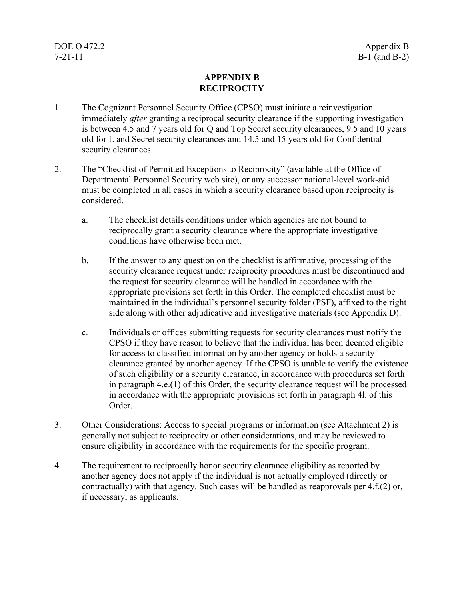#### **APPENDIX B RECIPROCITY**

- 1. The Cognizant Personnel Security Office (CPSO) must initiate a reinvestigation immediately *after* granting a reciprocal security clearance if the supporting investigation is between 4.5 and 7 years old for Q and Top Secret security clearances, 9.5 and 10 years old for L and Secret security clearances and 14.5 and 15 years old for Confidential security clearances.
- 2. The "Checklist of Permitted Exceptions to Reciprocity" (available at the Office of Departmental Personnel Security web site), or any successor national-level work-aid must be completed in all cases in which a security clearance based upon reciprocity is considered.
	- a. The checklist details conditions under which agencies are not bound to reciprocally grant a security clearance where the appropriate investigative conditions have otherwise been met.
	- b. If the answer to any question on the checklist is affirmative, processing of the security clearance request under reciprocity procedures must be discontinued and the request for security clearance will be handled in accordance with the appropriate provisions set forth in this Order. The completed checklist must be maintained in the individual's personnel security folder (PSF), affixed to the right side along with other adjudicative and investigative materials (see Appendix D).
	- c. Individuals or offices submitting requests for security clearances must notify the CPSO if they have reason to believe that the individual has been deemed eligible for access to classified information by another agency or holds a security clearance granted by another agency. If the CPSO is unable to verify the existence of such eligibility or a security clearance, in accordance with procedures set forth in paragraph 4.e.(1) of this Order, the security clearance request will be processed in accordance with the appropriate provisions set forth in paragraph 4l. of this Order.
- 3. Other Considerations: Access to special programs or information (see Attachment 2) is generally not subject to reciprocity or other considerations, and may be reviewed to ensure eligibility in accordance with the requirements for the specific program.
- 4. The requirement to reciprocally honor security clearance eligibility as reported by another agency does not apply if the individual is not actually employed (directly or contractually) with that agency. Such cases will be handled as reapprovals per 4.f.(2) or, if necessary, as applicants.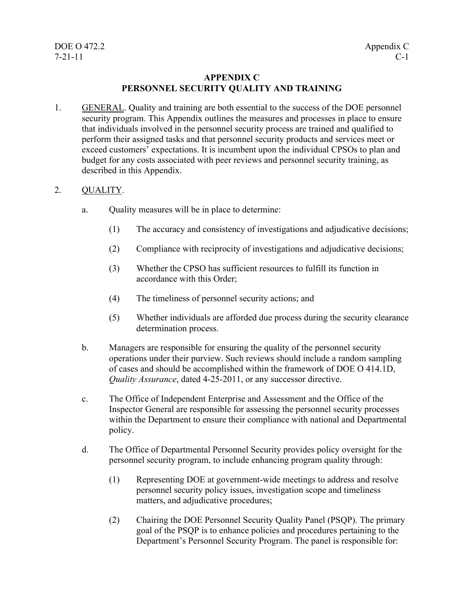#### **APPENDIX C PERSONNEL SECURITY QUALITY AND TRAINING**

1. GENERAL. Quality and training are both essential to the success of the DOE personnel security program. This Appendix outlines the measures and processes in place to ensure that individuals involved in the personnel security process are trained and qualified to perform their assigned tasks and that personnel security products and services meet or exceed customers' expectations. It is incumbent upon the individual CPSOs to plan and budget for any costs associated with peer reviews and personnel security training, as described in this Appendix.

#### 2. QUALITY.

- a. Quality measures will be in place to determine:
	- (1) The accuracy and consistency of investigations and adjudicative decisions;
	- (2) Compliance with reciprocity of investigations and adjudicative decisions;
	- (3) Whether the CPSO has sufficient resources to fulfill its function in accordance with this Order;
	- (4) The timeliness of personnel security actions; and
	- (5) Whether individuals are afforded due process during the security clearance determination process.
- b. Managers are responsible for ensuring the quality of the personnel security operations under their purview. Such reviews should include a random sampling of cases and should be accomplished within the framework of DOE O 414.1D, *Quality Assurance*, dated 4-25-2011, or any successor directive.
- c. The Office of Independent Enterprise and Assessment and the Office of the Inspector General are responsible for assessing the personnel security processes within the Department to ensure their compliance with national and Departmental policy.
- d. The Office of Departmental Personnel Security provides policy oversight for the personnel security program, to include enhancing program quality through:
	- (1) Representing DOE at government-wide meetings to address and resolve personnel security policy issues, investigation scope and timeliness matters, and adjudicative procedures;
	- (2) Chairing the DOE Personnel Security Quality Panel (PSQP). The primary goal of the PSQP is to enhance policies and procedures pertaining to the Department's Personnel Security Program. The panel is responsible for: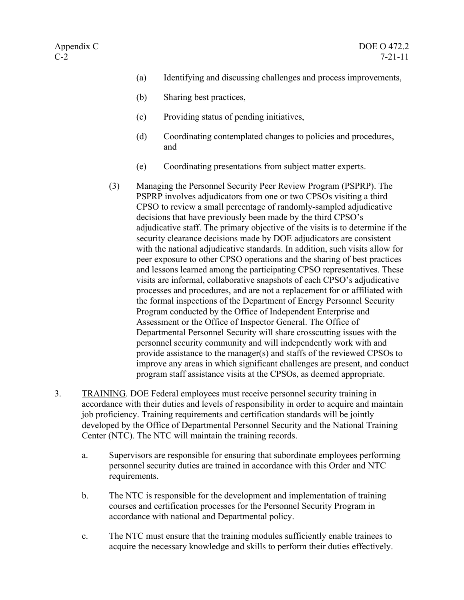- (a) Identifying and discussing challenges and process improvements,
- (b) Sharing best practices,
- (c) Providing status of pending initiatives,
- (d) Coordinating contemplated changes to policies and procedures, and
- (e) Coordinating presentations from subject matter experts.
- (3) Managing the Personnel Security Peer Review Program (PSPRP). The PSPRP involves adjudicators from one or two CPSOs visiting a third CPSO to review a small percentage of randomly-sampled adjudicative decisions that have previously been made by the third CPSO's adjudicative staff. The primary objective of the visits is to determine if the security clearance decisions made by DOE adjudicators are consistent with the national adjudicative standards. In addition, such visits allow for peer exposure to other CPSO operations and the sharing of best practices and lessons learned among the participating CPSO representatives. These visits are informal, collaborative snapshots of each CPSO's adjudicative processes and procedures, and are not a replacement for or affiliated with the formal inspections of the Department of Energy Personnel Security Program conducted by the Office of Independent Enterprise and Assessment or the Office of Inspector General. The Office of Departmental Personnel Security will share crosscutting issues with the personnel security community and will independently work with and provide assistance to the manager(s) and staffs of the reviewed CPSOs to improve any areas in which significant challenges are present, and conduct program staff assistance visits at the CPSOs, as deemed appropriate.
- 3. TRAINING. DOE Federal employees must receive personnel security training in accordance with their duties and levels of responsibility in order to acquire and maintain job proficiency. Training requirements and certification standards will be jointly developed by the Office of Departmental Personnel Security and the National Training Center (NTC). The NTC will maintain the training records.
	- a. Supervisors are responsible for ensuring that subordinate employees performing personnel security duties are trained in accordance with this Order and NTC requirements.
	- b. The NTC is responsible for the development and implementation of training courses and certification processes for the Personnel Security Program in accordance with national and Departmental policy.
	- c. The NTC must ensure that the training modules sufficiently enable trainees to acquire the necessary knowledge and skills to perform their duties effectively.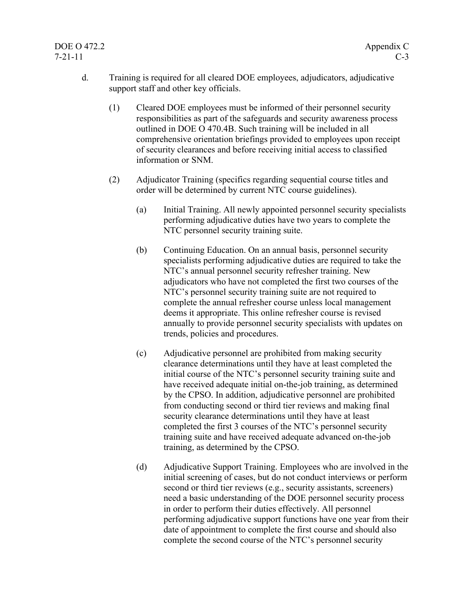### DOE O 472.2 Appendix C 7-21-11 C-3

- d. Training is required for all cleared DOE employees, adjudicators, adjudicative support staff and other key officials.
	- (1) Cleared DOE employees must be informed of their personnel security responsibilities as part of the safeguards and security awareness process outlined in DOE O 470.4B. Such training will be included in all comprehensive orientation briefings provided to employees upon receipt of security clearances and before receiving initial access to classified information or SNM.
	- (2) Adjudicator Training (specifics regarding sequential course titles and order will be determined by current NTC course guidelines).
		- (a) Initial Training. All newly appointed personnel security specialists performing adjudicative duties have two years to complete the NTC personnel security training suite.
		- (b) Continuing Education. On an annual basis, personnel security specialists performing adjudicative duties are required to take the NTC's annual personnel security refresher training. New adjudicators who have not completed the first two courses of the NTC's personnel security training suite are not required to complete the annual refresher course unless local management deems it appropriate. This online refresher course is revised annually to provide personnel security specialists with updates on trends, policies and procedures.
		- (c) Adjudicative personnel are prohibited from making security clearance determinations until they have at least completed the initial course of the NTC's personnel security training suite and have received adequate initial on-the-job training, as determined by the CPSO. In addition, adjudicative personnel are prohibited from conducting second or third tier reviews and making final security clearance determinations until they have at least completed the first 3 courses of the NTC's personnel security training suite and have received adequate advanced on-the-job training, as determined by the CPSO.
		- (d) Adjudicative Support Training. Employees who are involved in the initial screening of cases, but do not conduct interviews or perform second or third tier reviews (e.g., security assistants, screeners) need a basic understanding of the DOE personnel security process in order to perform their duties effectively. All personnel performing adjudicative support functions have one year from their date of appointment to complete the first course and should also complete the second course of the NTC's personnel security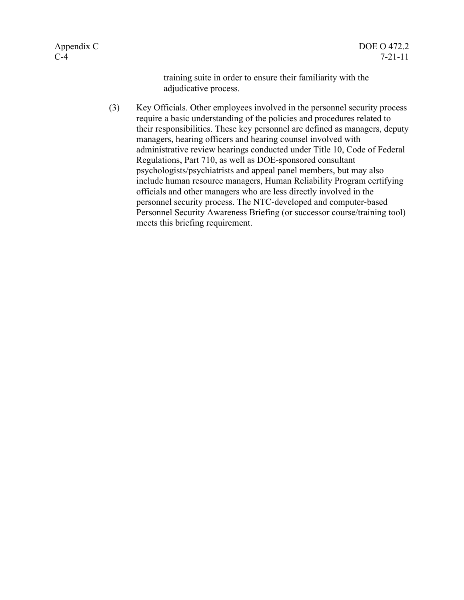training suite in order to ensure their familiarity with the adjudicative process.

(3) Key Officials. Other employees involved in the personnel security process require a basic understanding of the policies and procedures related to their responsibilities. These key personnel are defined as managers, deputy managers, hearing officers and hearing counsel involved with administrative review hearings conducted under Title 10, Code of Federal Regulations, Part 710, as well as DOE-sponsored consultant psychologists/psychiatrists and appeal panel members, but may also include human resource managers, Human Reliability Program certifying officials and other managers who are less directly involved in the personnel security process. The NTC-developed and computer-based Personnel Security Awareness Briefing (or successor course/training tool) meets this briefing requirement.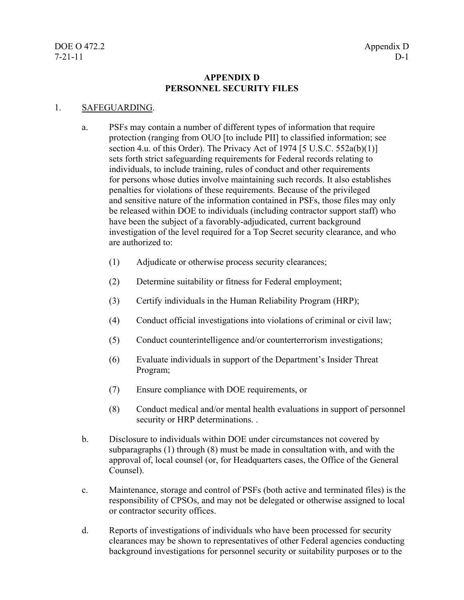#### **APPENDIX D PERSONNEL SECURITY FILES**

#### 1. SAFEGUARDING.

- a. PSFs may contain a number of different types of information that require protection (ranging from OUO [to include PII] to classified information; see section 4.u. of this Order). The Privacy Act of 1974 [5 U.S.C.  $552a(b)(1)$ ] sets forth strict safeguarding requirements for Federal records relating to individuals, to include training, rules of conduct and other requirements for persons whose duties involve maintaining such records. It also establishes penalties for violations of these requirements. Because of the privileged and sensitive nature of the information contained in PSFs, those files may only be released within DOE to individuals (including contractor support staff) who have been the subject of a favorably-adjudicated, current background investigation of the level required for a Top Secret security clearance, and who are authorized to:
	- (1) Adjudicate or otherwise process security clearances;
	- (2) Determine suitability or fitness for Federal employment;
	- (3) Certify individuals in the Human Reliability Program (HRP);
	- (4) Conduct official investigations into violations of criminal or civil law;
	- (5) Conduct counterintelligence and/or counterterrorism investigations;
	- (6) Evaluate individuals in support of the Department's Insider Threat Program;
	- (7) Ensure compliance with DOE requirements, or
	- (8) Conduct medical and/or mental health evaluations in support of personnel security or HRP determinations. .
- b. Disclosure to individuals within DOE under circumstances not covered by subparagraphs (1) through (8) must be made in consultation with, and with the approval of, local counsel (or, for Headquarters cases, the Office of the General Counsel).
- c. Maintenance, storage and control of PSFs (both active and terminated files) is the responsibility of CPSOs, and may not be delegated or otherwise assigned to local or contractor security offices.
- d. Reports of investigations of individuals who have been processed for security clearances may be shown to representatives of other Federal agencies conducting background investigations for personnel security or suitability purposes or to the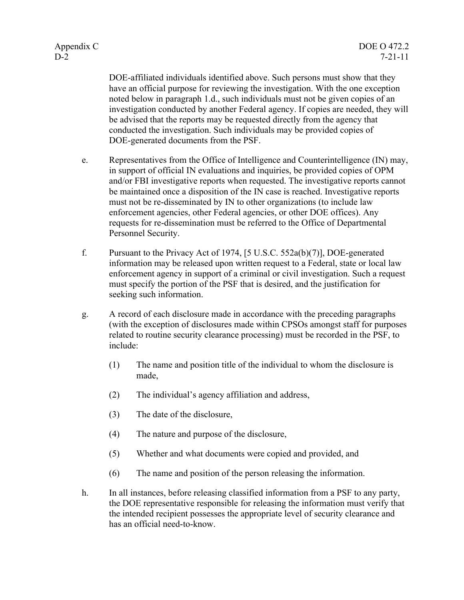DOE-affiliated individuals identified above. Such persons must show that they have an official purpose for reviewing the investigation. With the one exception noted below in paragraph 1.d., such individuals must not be given copies of an investigation conducted by another Federal agency. If copies are needed, they will be advised that the reports may be requested directly from the agency that conducted the investigation. Such individuals may be provided copies of DOE-generated documents from the PSF.

- e. Representatives from the Office of Intelligence and Counterintelligence (IN) may, in support of official IN evaluations and inquiries, be provided copies of OPM and/or FBI investigative reports when requested. The investigative reports cannot be maintained once a disposition of the IN case is reached. Investigative reports must not be re-disseminated by IN to other organizations (to include law enforcement agencies, other Federal agencies, or other DOE offices). Any requests for re-dissemination must be referred to the Office of Departmental Personnel Security.
- f. Pursuant to the Privacy Act of 1974, [5 U.S.C. 552a(b)(7)], DOE-generated information may be released upon written request to a Federal, state or local law enforcement agency in support of a criminal or civil investigation. Such a request must specify the portion of the PSF that is desired, and the justification for seeking such information.
- g. A record of each disclosure made in accordance with the preceding paragraphs (with the exception of disclosures made within CPSOs amongst staff for purposes related to routine security clearance processing) must be recorded in the PSF, to include:
	- (1) The name and position title of the individual to whom the disclosure is made,
	- (2) The individual's agency affiliation and address,
	- (3) The date of the disclosure,
	- (4) The nature and purpose of the disclosure,
	- (5) Whether and what documents were copied and provided, and
	- (6) The name and position of the person releasing the information.
- h. In all instances, before releasing classified information from a PSF to any party, the DOE representative responsible for releasing the information must verify that the intended recipient possesses the appropriate level of security clearance and has an official need-to-know.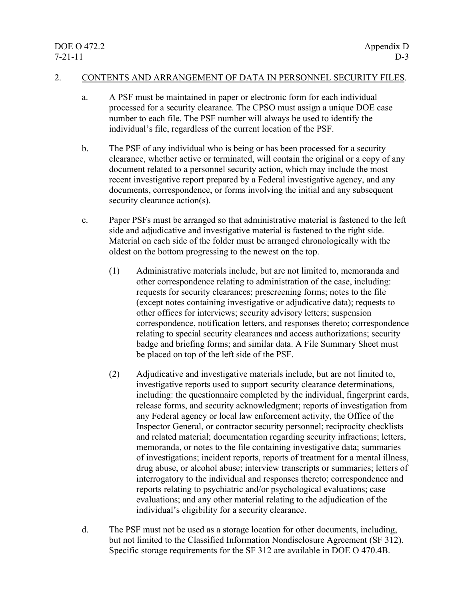#### 2. CONTENTS AND ARRANGEMENT OF DATA IN PERSONNEL SECURITY FILES.

- a. A PSF must be maintained in paper or electronic form for each individual processed for a security clearance. The CPSO must assign a unique DOE case number to each file. The PSF number will always be used to identify the individual's file, regardless of the current location of the PSF.
- b. The PSF of any individual who is being or has been processed for a security clearance, whether active or terminated, will contain the original or a copy of any document related to a personnel security action, which may include the most recent investigative report prepared by a Federal investigative agency, and any documents, correspondence, or forms involving the initial and any subsequent security clearance action(s).
- c. Paper PSFs must be arranged so that administrative material is fastened to the left side and adjudicative and investigative material is fastened to the right side. Material on each side of the folder must be arranged chronologically with the oldest on the bottom progressing to the newest on the top.
	- (1) Administrative materials include, but are not limited to, memoranda and other correspondence relating to administration of the case, including: requests for security clearances; prescreening forms; notes to the file (except notes containing investigative or adjudicative data); requests to other offices for interviews; security advisory letters; suspension correspondence, notification letters, and responses thereto; correspondence relating to special security clearances and access authorizations; security badge and briefing forms; and similar data. A File Summary Sheet must be placed on top of the left side of the PSF.
	- (2) Adjudicative and investigative materials include, but are not limited to, investigative reports used to support security clearance determinations, including: the questionnaire completed by the individual, fingerprint cards, release forms, and security acknowledgment; reports of investigation from any Federal agency or local law enforcement activity, the Office of the Inspector General, or contractor security personnel; reciprocity checklists and related material; documentation regarding security infractions; letters, memoranda, or notes to the file containing investigative data; summaries of investigations; incident reports, reports of treatment for a mental illness, drug abuse, or alcohol abuse; interview transcripts or summaries; letters of interrogatory to the individual and responses thereto; correspondence and reports relating to psychiatric and/or psychological evaluations; case evaluations; and any other material relating to the adjudication of the individual's eligibility for a security clearance.
- d. The PSF must not be used as a storage location for other documents, including, but not limited to the Classified Information Nondisclosure Agreement (SF 312). Specific storage requirements for the SF 312 are available in DOE O 470.4B.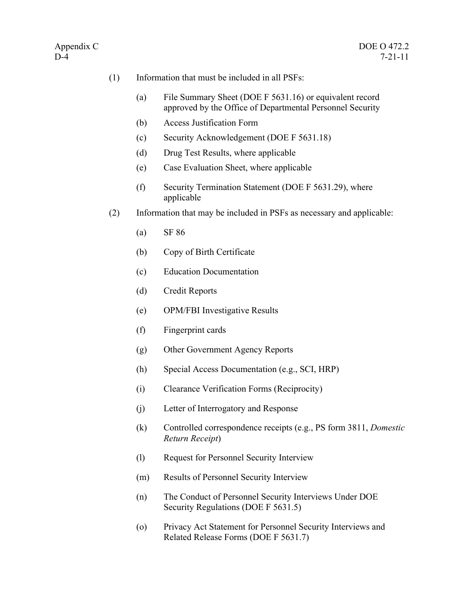- (1) Information that must be included in all PSFs:
	- (a) File Summary Sheet (DOE F 5631.16) or equivalent record approved by the Office of Departmental Personnel Security
	- (b) Access Justification Form
	- (c) Security Acknowledgement (DOE F 5631.18)
	- (d) Drug Test Results, where applicable
	- (e) Case Evaluation Sheet, where applicable
	- (f) Security Termination Statement (DOE F 5631.29), where applicable
- (2) Information that may be included in PSFs as necessary and applicable:
	- (a) SF 86
	- (b) Copy of Birth Certificate
	- (c) Education Documentation
	- (d) Credit Reports
	- (e) OPM/FBI Investigative Results
	- (f) Fingerprint cards
	- (g) Other Government Agency Reports
	- (h) Special Access Documentation (e.g., SCI, HRP)
	- (i) Clearance Verification Forms (Reciprocity)
	- (j) Letter of Interrogatory and Response
	- (k) Controlled correspondence receipts (e.g., PS form 3811, *Domestic Return Receipt*)
	- (l) Request for Personnel Security Interview
	- (m) Results of Personnel Security Interview
	- (n) The Conduct of Personnel Security Interviews Under DOE Security Regulations (DOE F 5631.5)
	- (o) Privacy Act Statement for Personnel Security Interviews and Related Release Forms (DOE F 5631.7)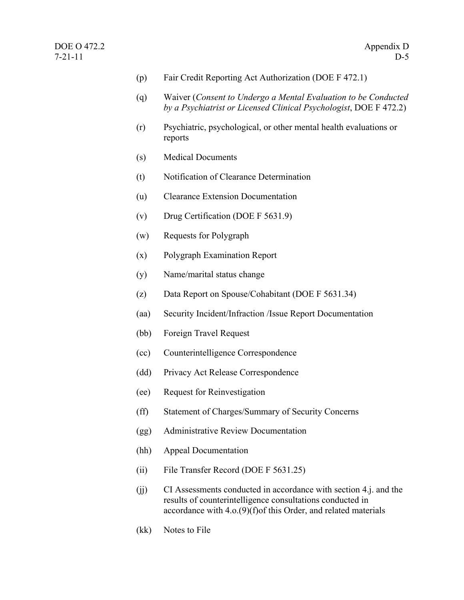- (p) Fair Credit Reporting Act Authorization (DOE F 472.1)
- (q) Waiver (*Consent to Undergo a Mental Evaluation to be Conducted by a Psychiatrist or Licensed Clinical Psychologist*, DOE F 472.2)
- (r) Psychiatric, psychological, or other mental health evaluations or reports
- (s) Medical Documents
- (t) Notification of Clearance Determination
- (u) Clearance Extension Documentation
- (v) Drug Certification (DOE F 5631.9)
- (w) Requests for Polygraph
- (x) Polygraph Examination Report
- (y) Name/marital status change
- (z) Data Report on Spouse/Cohabitant (DOE F 5631.34)
- (aa) Security Incident/Infraction /Issue Report Documentation
- (bb) Foreign Travel Request
- (cc) Counterintelligence Correspondence
- (dd) Privacy Act Release Correspondence
- (ee) Request for Reinvestigation
- (ff) Statement of Charges/Summary of Security Concerns
- (gg) Administrative Review Documentation
- (hh) Appeal Documentation
- (ii) File Transfer Record (DOE F 5631.25)
- (jj) CI Assessments conducted in accordance with section 4.j. and the results of counterintelligence consultations conducted in accordance with 4.o.(9)(f)of this Order, and related materials
- (kk) Notes to File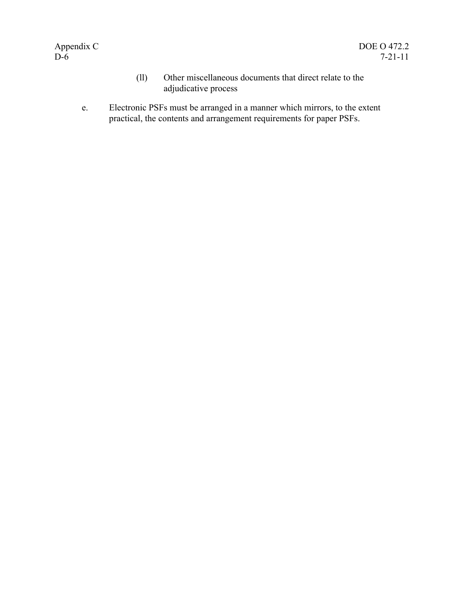- (ll) Other miscellaneous documents that direct relate to the adjudicative process
- e. Electronic PSFs must be arranged in a manner which mirrors, to the extent practical, the contents and arrangement requirements for paper PSFs.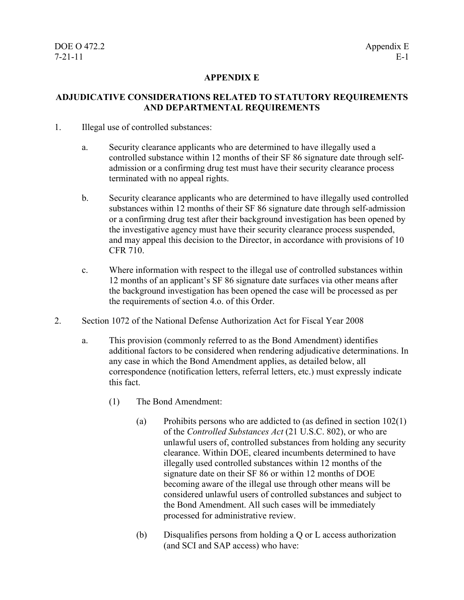#### **APPENDIX E**

#### **ADJUDICATIVE CONSIDERATIONS RELATED TO STATUTORY REQUIREMENTS AND DEPARTMENTAL REQUIREMENTS**

- 1. Illegal use of controlled substances:
	- a. Security clearance applicants who are determined to have illegally used a controlled substance within 12 months of their SF 86 signature date through selfadmission or a confirming drug test must have their security clearance process terminated with no appeal rights.
	- b. Security clearance applicants who are determined to have illegally used controlled substances within 12 months of their SF 86 signature date through self-admission or a confirming drug test after their background investigation has been opened by the investigative agency must have their security clearance process suspended, and may appeal this decision to the Director, in accordance with provisions of 10 CFR 710.
	- c. Where information with respect to the illegal use of controlled substances within 12 months of an applicant's SF 86 signature date surfaces via other means after the background investigation has been opened the case will be processed as per the requirements of section 4.o. of this Order.
- 2. Section 1072 of the National Defense Authorization Act for Fiscal Year 2008
	- a. This provision (commonly referred to as the Bond Amendment) identifies additional factors to be considered when rendering adjudicative determinations. In any case in which the Bond Amendment applies, as detailed below, all correspondence (notification letters, referral letters, etc.) must expressly indicate this fact.
		- (1) The Bond Amendment:
			- (a) Prohibits persons who are addicted to (as defined in section 102(1) of the *Controlled Substances Act* (21 U.S.C. 802), or who are unlawful users of, controlled substances from holding any security clearance. Within DOE, cleared incumbents determined to have illegally used controlled substances within 12 months of the signature date on their SF 86 or within 12 months of DOE becoming aware of the illegal use through other means will be considered unlawful users of controlled substances and subject to the Bond Amendment. All such cases will be immediately processed for administrative review.
			- (b) Disqualifies persons from holding a Q or L access authorization (and SCI and SAP access) who have: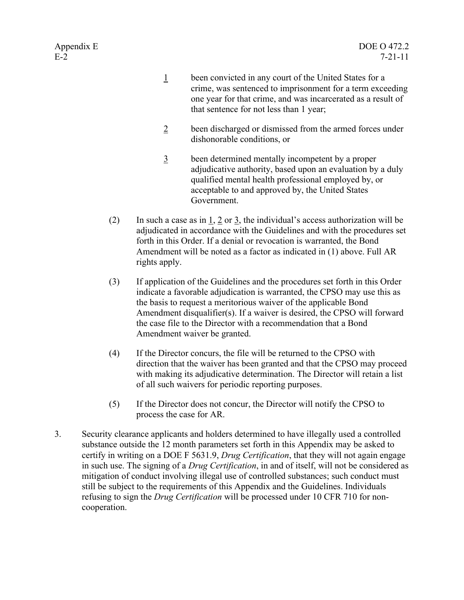- 1 been convicted in any court of the United States for a crime, was sentenced to imprisonment for a term exceeding one year for that crime, and was incarcerated as a result of that sentence for not less than 1 year;
- 2 been discharged or dismissed from the armed forces under dishonorable conditions, or
- 3 been determined mentally incompetent by a proper adjudicative authority, based upon an evaluation by a duly qualified mental health professional employed by, or acceptable to and approved by, the United States Government.
- (2) In such a case as in  $\underline{1}$ ,  $\underline{2}$  or  $\underline{3}$ , the individual's access authorization will be adjudicated in accordance with the Guidelines and with the procedures set forth in this Order. If a denial or revocation is warranted, the Bond Amendment will be noted as a factor as indicated in (1) above. Full AR rights apply.
- (3) If application of the Guidelines and the procedures set forth in this Order indicate a favorable adjudication is warranted, the CPSO may use this as the basis to request a meritorious waiver of the applicable Bond Amendment disqualifier(s). If a waiver is desired, the CPSO will forward the case file to the Director with a recommendation that a Bond Amendment waiver be granted.
- (4) If the Director concurs, the file will be returned to the CPSO with direction that the waiver has been granted and that the CPSO may proceed with making its adjudicative determination. The Director will retain a list of all such waivers for periodic reporting purposes.
- (5) If the Director does not concur, the Director will notify the CPSO to process the case for AR.
- 3. Security clearance applicants and holders determined to have illegally used a controlled substance outside the 12 month parameters set forth in this Appendix may be asked to certify in writing on a DOE F 5631.9, *Drug Certification*, that they will not again engage in such use. The signing of a *Drug Certification*, in and of itself, will not be considered as mitigation of conduct involving illegal use of controlled substances; such conduct must still be subject to the requirements of this Appendix and the Guidelines. Individuals refusing to sign the *Drug Certification* will be processed under 10 CFR 710 for noncooperation.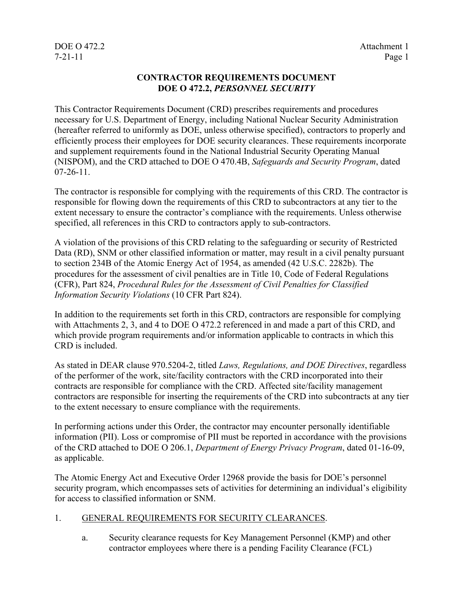# DOE O 472.2 Attachment 1

#### **CONTRACTOR REQUIREMENTS DOCUMENT DOE O 472.2,** *PERSONNEL SECURITY*

This Contractor Requirements Document (CRD) prescribes requirements and procedures necessary for U.S. Department of Energy, including National Nuclear Security Administration (hereafter referred to uniformly as DOE, unless otherwise specified), contractors to properly and efficiently process their employees for DOE security clearances. These requirements incorporate and supplement requirements found in the National Industrial Security Operating Manual (NISPOM), and the CRD attached to DOE O 470.4B, *Safeguards and Security Program*, dated  $07-26-11$ .

The contractor is responsible for complying with the requirements of this CRD. The contractor is responsible for flowing down the requirements of this CRD to subcontractors at any tier to the extent necessary to ensure the contractor's compliance with the requirements. Unless otherwise specified, all references in this CRD to contractors apply to sub-contractors.

A violation of the provisions of this CRD relating to the safeguarding or security of Restricted Data (RD), SNM or other classified information or matter, may result in a civil penalty pursuant to section 234B of the Atomic Energy Act of 1954, as amended (42 U.S.C. 2282b). The procedures for the assessment of civil penalties are in Title 10, Code of Federal Regulations (CFR), Part 824, *Procedural Rules for the Assessment of Civil Penalties for Classified Information Security Violations* (10 CFR Part 824).

In addition to the requirements set forth in this CRD, contractors are responsible for complying with Attachments 2, 3, and 4 to DOE O 472.2 referenced in and made a part of this CRD, and which provide program requirements and/or information applicable to contracts in which this CRD is included.

As stated in DEAR clause 970.5204-2, titled *Laws, Regulations, and DOE Directives*, regardless of the performer of the work, site/facility contractors with the CRD incorporated into their contracts are responsible for compliance with the CRD. Affected site/facility management contractors are responsible for inserting the requirements of the CRD into subcontracts at any tier to the extent necessary to ensure compliance with the requirements.

In performing actions under this Order, the contractor may encounter personally identifiable information (PII). Loss or compromise of PII must be reported in accordance with the provisions of the CRD attached to DOE O 206.1, *Department of Energy Privacy Program*, dated 01-16-09, as applicable.

The Atomic Energy Act and Executive Order 12968 provide the basis for DOE's personnel security program, which encompasses sets of activities for determining an individual's eligibility for access to classified information or SNM.

#### 1. GENERAL REQUIREMENTS FOR SECURITY CLEARANCES.

a. Security clearance requests for Key Management Personnel (KMP) and other contractor employees where there is a pending Facility Clearance (FCL)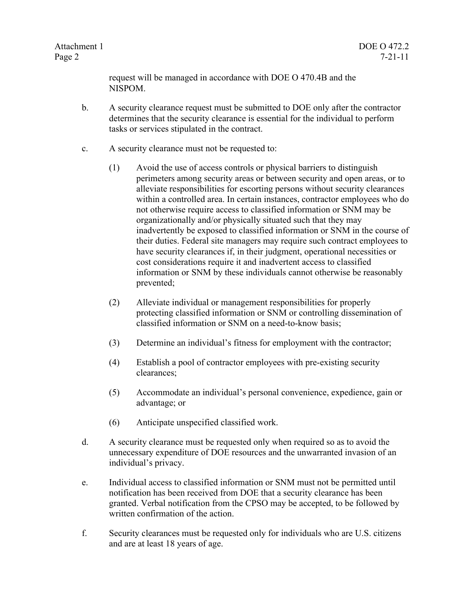Page 2 7-21-11

request will be managed in accordance with DOE O 470.4B and the NISPOM.

- b. A security clearance request must be submitted to DOE only after the contractor determines that the security clearance is essential for the individual to perform tasks or services stipulated in the contract.
- c. A security clearance must not be requested to:
	- (1) Avoid the use of access controls or physical barriers to distinguish perimeters among security areas or between security and open areas, or to alleviate responsibilities for escorting persons without security clearances within a controlled area. In certain instances, contractor employees who do not otherwise require access to classified information or SNM may be organizationally and/or physically situated such that they may inadvertently be exposed to classified information or SNM in the course of their duties. Federal site managers may require such contract employees to have security clearances if, in their judgment, operational necessities or cost considerations require it and inadvertent access to classified information or SNM by these individuals cannot otherwise be reasonably prevented;
	- (2) Alleviate individual or management responsibilities for properly protecting classified information or SNM or controlling dissemination of classified information or SNM on a need-to-know basis;
	- (3) Determine an individual's fitness for employment with the contractor;
	- (4) Establish a pool of contractor employees with pre-existing security clearances;
	- (5) Accommodate an individual's personal convenience, expedience, gain or advantage; or
	- (6) Anticipate unspecified classified work.
- d. A security clearance must be requested only when required so as to avoid the unnecessary expenditure of DOE resources and the unwarranted invasion of an individual's privacy.
- e. Individual access to classified information or SNM must not be permitted until notification has been received from DOE that a security clearance has been granted. Verbal notification from the CPSO may be accepted, to be followed by written confirmation of the action.
- f. Security clearances must be requested only for individuals who are U.S. citizens and are at least 18 years of age.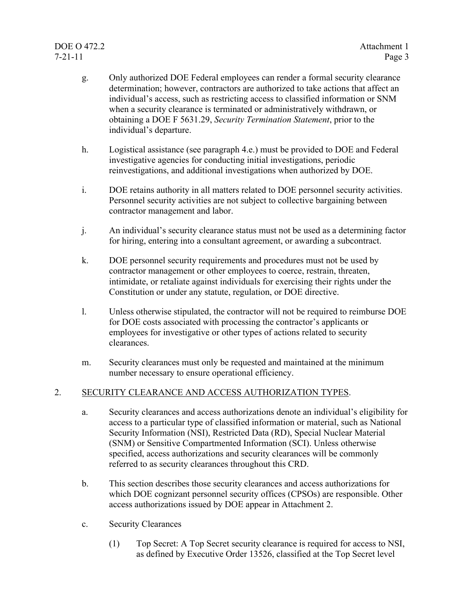### DOE O 472.2 Attachment 1 7-21-11 Page 3

- g. Only authorized DOE Federal employees can render a formal security clearance determination; however, contractors are authorized to take actions that affect an individual's access, such as restricting access to classified information or SNM when a security clearance is terminated or administratively withdrawn, or obtaining a DOE F 5631.29, *Security Termination Statement*, prior to the individual's departure.
- h. Logistical assistance (see paragraph 4.e.) must be provided to DOE and Federal investigative agencies for conducting initial investigations, periodic reinvestigations, and additional investigations when authorized by DOE.
- i. DOE retains authority in all matters related to DOE personnel security activities. Personnel security activities are not subject to collective bargaining between contractor management and labor.
- j. An individual's security clearance status must not be used as a determining factor for hiring, entering into a consultant agreement, or awarding a subcontract.
- k. DOE personnel security requirements and procedures must not be used by contractor management or other employees to coerce, restrain, threaten, intimidate, or retaliate against individuals for exercising their rights under the Constitution or under any statute, regulation, or DOE directive.
- l. Unless otherwise stipulated, the contractor will not be required to reimburse DOE for DOE costs associated with processing the contractor's applicants or employees for investigative or other types of actions related to security clearances.
- m. Security clearances must only be requested and maintained at the minimum number necessary to ensure operational efficiency.

#### 2. SECURITY CLEARANCE AND ACCESS AUTHORIZATION TYPES.

- a. Security clearances and access authorizations denote an individual's eligibility for access to a particular type of classified information or material, such as National Security Information (NSI), Restricted Data (RD), Special Nuclear Material (SNM) or Sensitive Compartmented Information (SCI). Unless otherwise specified, access authorizations and security clearances will be commonly referred to as security clearances throughout this CRD.
- b. This section describes those security clearances and access authorizations for which DOE cognizant personnel security offices (CPSOs) are responsible. Other access authorizations issued by DOE appear in Attachment 2.
- c. Security Clearances
	- (1) Top Secret: A Top Secret security clearance is required for access to NSI, as defined by Executive Order 13526, classified at the Top Secret level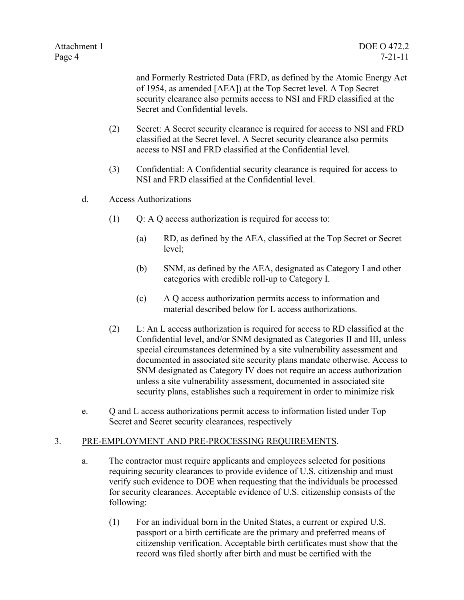and Formerly Restricted Data (FRD, as defined by the Atomic Energy Act of 1954, as amended [AEA]) at the Top Secret level. A Top Secret security clearance also permits access to NSI and FRD classified at the Secret and Confidential levels.

- (2) Secret: A Secret security clearance is required for access to NSI and FRD classified at the Secret level. A Secret security clearance also permits access to NSI and FRD classified at the Confidential level.
- (3) Confidential: A Confidential security clearance is required for access to NSI and FRD classified at the Confidential level.
- d. Access Authorizations
	- (1) Q: A Q access authorization is required for access to:
		- (a) RD, as defined by the AEA, classified at the Top Secret or Secret level;
		- (b) SNM, as defined by the AEA, designated as Category I and other categories with credible roll-up to Category I.
		- (c) A Q access authorization permits access to information and material described below for L access authorizations.
	- (2) L: An L access authorization is required for access to RD classified at the Confidential level, and/or SNM designated as Categories II and III, unless special circumstances determined by a site vulnerability assessment and documented in associated site security plans mandate otherwise. Access to SNM designated as Category IV does not require an access authorization unless a site vulnerability assessment, documented in associated site security plans, establishes such a requirement in order to minimize risk
- e. Q and L access authorizations permit access to information listed under Top Secret and Secret security clearances, respectively

#### 3. PRE-EMPLOYMENT AND PRE-PROCESSING REQUIREMENTS.

- a. The contractor must require applicants and employees selected for positions requiring security clearances to provide evidence of U.S. citizenship and must verify such evidence to DOE when requesting that the individuals be processed for security clearances. Acceptable evidence of U.S. citizenship consists of the following:
	- (1) For an individual born in the United States, a current or expired U.S. passport or a birth certificate are the primary and preferred means of citizenship verification. Acceptable birth certificates must show that the record was filed shortly after birth and must be certified with the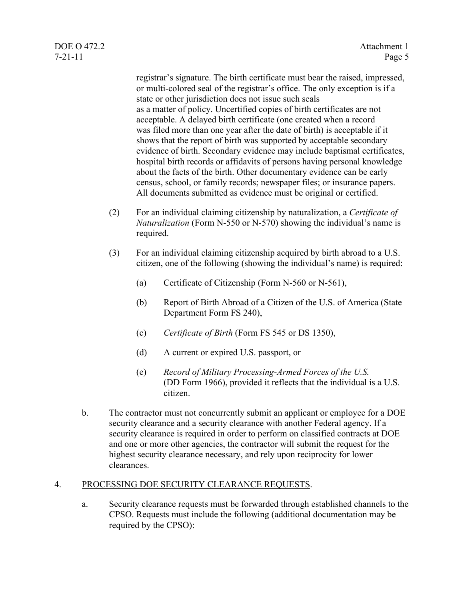registrar's signature. The birth certificate must bear the raised, impressed, or multi-colored seal of the registrar's office. The only exception is if a state or other jurisdiction does not issue such seals as a matter of policy. Uncertified copies of birth certificates are not acceptable. A delayed birth certificate (one created when a record was filed more than one year after the date of birth) is acceptable if it shows that the report of birth was supported by acceptable secondary evidence of birth. Secondary evidence may include baptismal certificates, hospital birth records or affidavits of persons having personal knowledge about the facts of the birth. Other documentary evidence can be early census, school, or family records; newspaper files; or insurance papers. All documents submitted as evidence must be original or certified.

- (2) For an individual claiming citizenship by naturalization, a *Certificate of Naturalization* (Form N-550 or N-570) showing the individual's name is required.
- (3) For an individual claiming citizenship acquired by birth abroad to a U.S. citizen, one of the following (showing the individual's name) is required:
	- (a) Certificate of Citizenship (Form N-560 or N-561),
	- (b) Report of Birth Abroad of a Citizen of the U.S. of America (State Department Form FS 240),
	- (c) *Certificate of Birth* (Form FS 545 or DS 1350),
	- (d) A current or expired U.S. passport, or
	- (e) *Record of Military Processing-Armed Forces of the U.S.* (DD Form 1966), provided it reflects that the individual is a U.S. citizen.
- b. The contractor must not concurrently submit an applicant or employee for a DOE security clearance and a security clearance with another Federal agency. If a security clearance is required in order to perform on classified contracts at DOE and one or more other agencies, the contractor will submit the request for the highest security clearance necessary, and rely upon reciprocity for lower clearances.

#### 4. PROCESSING DOE SECURITY CLEARANCE REQUESTS.

a. Security clearance requests must be forwarded through established channels to the CPSO. Requests must include the following (additional documentation may be required by the CPSO):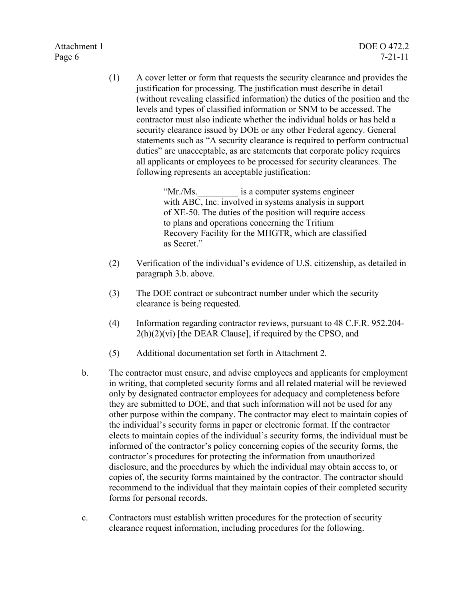Page 6 7-21-11

(1) A cover letter or form that requests the security clearance and provides the justification for processing. The justification must describe in detail (without revealing classified information) the duties of the position and the levels and types of classified information or SNM to be accessed. The contractor must also indicate whether the individual holds or has held a security clearance issued by DOE or any other Federal agency. General statements such as "A security clearance is required to perform contractual duties" are unacceptable, as are statements that corporate policy requires all applicants or employees to be processed for security clearances. The following represents an acceptable justification:

> "Mr./Ms. is a computer systems engineer with ABC, Inc. involved in systems analysis in support of XE-50. The duties of the position will require access to plans and operations concerning the Tritium Recovery Facility for the MHGTR, which are classified as Secret."

- (2) Verification of the individual's evidence of U.S. citizenship, as detailed in paragraph 3.b. above.
- (3) The DOE contract or subcontract number under which the security clearance is being requested.
- (4) Information regarding contractor reviews, pursuant to 48 C.F.R. 952.204-  $2(h)(2)(vi)$  [the DEAR Clause], if required by the CPSO, and
- (5) Additional documentation set forth in Attachment 2.
- b. The contractor must ensure, and advise employees and applicants for employment in writing, that completed security forms and all related material will be reviewed only by designated contractor employees for adequacy and completeness before they are submitted to DOE, and that such information will not be used for any other purpose within the company. The contractor may elect to maintain copies of the individual's security forms in paper or electronic format. If the contractor elects to maintain copies of the individual's security forms, the individual must be informed of the contractor's policy concerning copies of the security forms, the contractor's procedures for protecting the information from unauthorized disclosure, and the procedures by which the individual may obtain access to, or copies of, the security forms maintained by the contractor. The contractor should recommend to the individual that they maintain copies of their completed security forms for personal records.
- c. Contractors must establish written procedures for the protection of security clearance request information, including procedures for the following.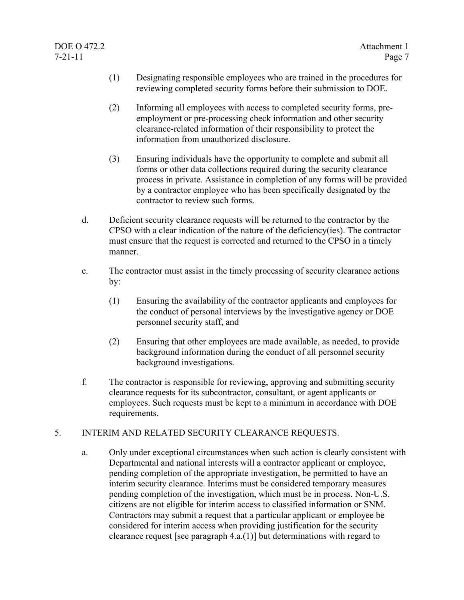- (1) Designating responsible employees who are trained in the procedures for reviewing completed security forms before their submission to DOE.
- (2) Informing all employees with access to completed security forms, preemployment or pre-processing check information and other security clearance-related information of their responsibility to protect the information from unauthorized disclosure.
- (3) Ensuring individuals have the opportunity to complete and submit all forms or other data collections required during the security clearance process in private. Assistance in completion of any forms will be provided by a contractor employee who has been specifically designated by the contractor to review such forms.
- d. Deficient security clearance requests will be returned to the contractor by the CPSO with a clear indication of the nature of the deficiency(ies). The contractor must ensure that the request is corrected and returned to the CPSO in a timely manner.
- e. The contractor must assist in the timely processing of security clearance actions by:
	- (1) Ensuring the availability of the contractor applicants and employees for the conduct of personal interviews by the investigative agency or DOE personnel security staff, and
	- (2) Ensuring that other employees are made available, as needed, to provide background information during the conduct of all personnel security background investigations.
- f. The contractor is responsible for reviewing, approving and submitting security clearance requests for its subcontractor, consultant, or agent applicants or employees. Such requests must be kept to a minimum in accordance with DOE requirements.

#### 5. INTERIM AND RELATED SECURITY CLEARANCE REQUESTS.

a. Only under exceptional circumstances when such action is clearly consistent with Departmental and national interests will a contractor applicant or employee, pending completion of the appropriate investigation, be permitted to have an interim security clearance. Interims must be considered temporary measures pending completion of the investigation, which must be in process. Non-U.S. citizens are not eligible for interim access to classified information or SNM. Contractors may submit a request that a particular applicant or employee be considered for interim access when providing justification for the security clearance request [see paragraph 4.a.(1)] but determinations with regard to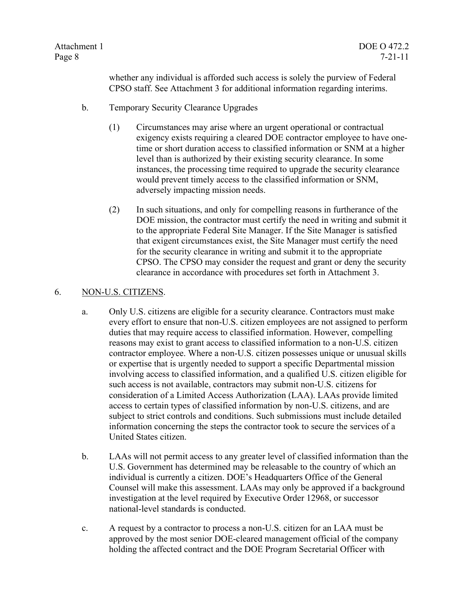whether any individual is afforded such access is solely the purview of Federal CPSO staff. See Attachment 3 for additional information regarding interims.

- b. Temporary Security Clearance Upgrades
	- (1) Circumstances may arise where an urgent operational or contractual exigency exists requiring a cleared DOE contractor employee to have onetime or short duration access to classified information or SNM at a higher level than is authorized by their existing security clearance. In some instances, the processing time required to upgrade the security clearance would prevent timely access to the classified information or SNM, adversely impacting mission needs.
	- (2) In such situations, and only for compelling reasons in furtherance of the DOE mission, the contractor must certify the need in writing and submit it to the appropriate Federal Site Manager. If the Site Manager is satisfied that exigent circumstances exist, the Site Manager must certify the need for the security clearance in writing and submit it to the appropriate CPSO. The CPSO may consider the request and grant or deny the security clearance in accordance with procedures set forth in Attachment 3.

#### 6. NON-U.S. CITIZENS.

- a. Only U.S. citizens are eligible for a security clearance. Contractors must make every effort to ensure that non-U.S. citizen employees are not assigned to perform duties that may require access to classified information. However, compelling reasons may exist to grant access to classified information to a non-U.S. citizen contractor employee. Where a non-U.S. citizen possesses unique or unusual skills or expertise that is urgently needed to support a specific Departmental mission involving access to classified information, and a qualified U.S. citizen eligible for such access is not available, contractors may submit non-U.S. citizens for consideration of a Limited Access Authorization (LAA). LAAs provide limited access to certain types of classified information by non-U.S. citizens, and are subject to strict controls and conditions. Such submissions must include detailed information concerning the steps the contractor took to secure the services of a United States citizen.
- b. LAAs will not permit access to any greater level of classified information than the U.S. Government has determined may be releasable to the country of which an individual is currently a citizen. DOE's Headquarters Office of the General Counsel will make this assessment. LAAs may only be approved if a background investigation at the level required by Executive Order 12968, or successor national-level standards is conducted.
- c. A request by a contractor to process a non-U.S. citizen for an LAA must be approved by the most senior DOE-cleared management official of the company holding the affected contract and the DOE Program Secretarial Officer with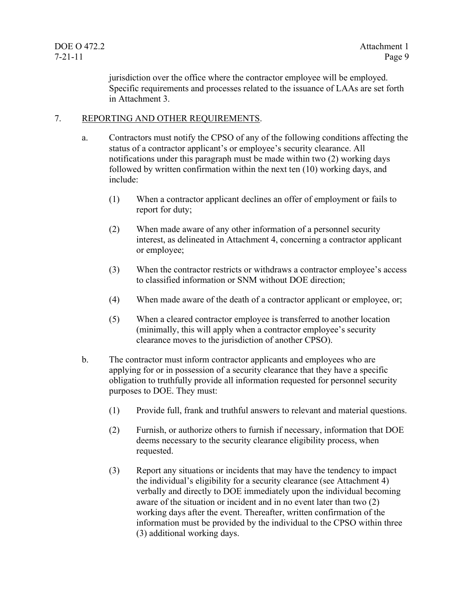jurisdiction over the office where the contractor employee will be employed. Specific requirements and processes related to the issuance of LAAs are set forth in Attachment 3.

#### 7. REPORTING AND OTHER REQUIREMENTS.

- a. Contractors must notify the CPSO of any of the following conditions affecting the status of a contractor applicant's or employee's security clearance. All notifications under this paragraph must be made within two (2) working days followed by written confirmation within the next ten (10) working days, and include:
	- (1) When a contractor applicant declines an offer of employment or fails to report for duty;
	- (2) When made aware of any other information of a personnel security interest, as delineated in Attachment 4, concerning a contractor applicant or employee;
	- (3) When the contractor restricts or withdraws a contractor employee's access to classified information or SNM without DOE direction;
	- (4) When made aware of the death of a contractor applicant or employee, or;
	- (5) When a cleared contractor employee is transferred to another location (minimally, this will apply when a contractor employee's security clearance moves to the jurisdiction of another CPSO).
- b. The contractor must inform contractor applicants and employees who are applying for or in possession of a security clearance that they have a specific obligation to truthfully provide all information requested for personnel security purposes to DOE. They must:
	- (1) Provide full, frank and truthful answers to relevant and material questions.
	- (2) Furnish, or authorize others to furnish if necessary, information that DOE deems necessary to the security clearance eligibility process, when requested.
	- (3) Report any situations or incidents that may have the tendency to impact the individual's eligibility for a security clearance (see Attachment 4) verbally and directly to DOE immediately upon the individual becoming aware of the situation or incident and in no event later than two (2) working days after the event. Thereafter, written confirmation of the information must be provided by the individual to the CPSO within three (3) additional working days.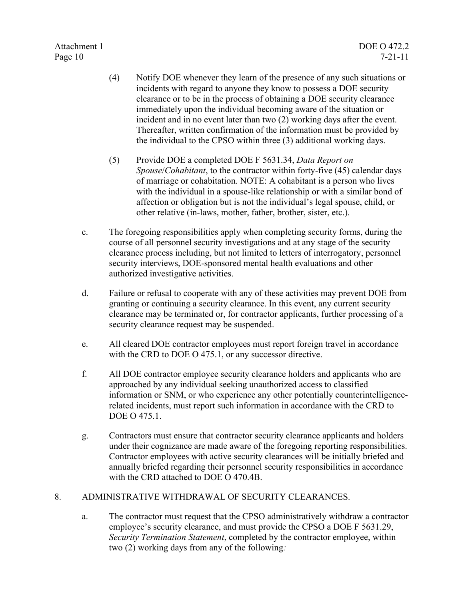- (4) Notify DOE whenever they learn of the presence of any such situations or incidents with regard to anyone they know to possess a DOE security clearance or to be in the process of obtaining a DOE security clearance immediately upon the individual becoming aware of the situation or incident and in no event later than two (2) working days after the event. Thereafter, written confirmation of the information must be provided by the individual to the CPSO within three (3) additional working days.
- (5) Provide DOE a completed DOE F 5631.34, *Data Report on Spouse*/*Cohabitant*, to the contractor within forty-five (45) calendar days of marriage or cohabitation. NOTE: A cohabitant is a person who lives with the individual in a spouse-like relationship or with a similar bond of affection or obligation but is not the individual's legal spouse, child, or other relative (in-laws, mother, father, brother, sister, etc.).
- c. The foregoing responsibilities apply when completing security forms, during the course of all personnel security investigations and at any stage of the security clearance process including, but not limited to letters of interrogatory, personnel security interviews, DOE-sponsored mental health evaluations and other authorized investigative activities.
- d. Failure or refusal to cooperate with any of these activities may prevent DOE from granting or continuing a security clearance. In this event, any current security clearance may be terminated or, for contractor applicants, further processing of a security clearance request may be suspended.
- e. All cleared DOE contractor employees must report foreign travel in accordance with the CRD to DOE O 475.1, or any successor directive.
- f. All DOE contractor employee security clearance holders and applicants who are approached by any individual seeking unauthorized access to classified information or SNM, or who experience any other potentially counterintelligencerelated incidents, must report such information in accordance with the CRD to DOE O 475.1.
- g. Contractors must ensure that contractor security clearance applicants and holders under their cognizance are made aware of the foregoing reporting responsibilities. Contractor employees with active security clearances will be initially briefed and annually briefed regarding their personnel security responsibilities in accordance with the CRD attached to DOE O 470.4B.

#### 8. ADMINISTRATIVE WITHDRAWAL OF SECURITY CLEARANCES.

a. The contractor must request that the CPSO administratively withdraw a contractor employee's security clearance, and must provide the CPSO a DOE F 5631.29, *Security Termination Statement*, completed by the contractor employee, within two (2) working days from any of the following*:*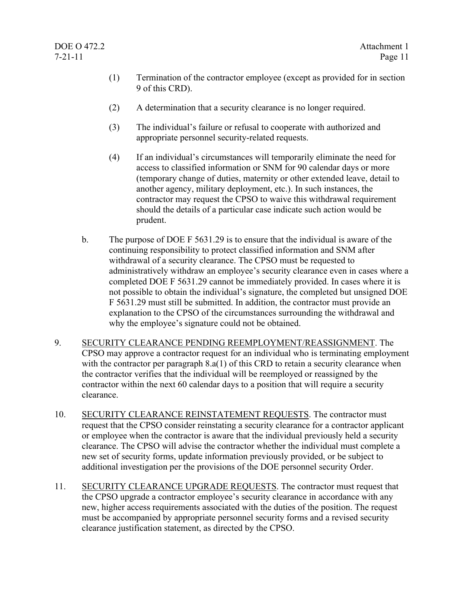- (1) Termination of the contractor employee (except as provided for in section 9 of this CRD).
- (2) A determination that a security clearance is no longer required.
- (3) The individual's failure or refusal to cooperate with authorized and appropriate personnel security-related requests.
- (4) If an individual's circumstances will temporarily eliminate the need for access to classified information or SNM for 90 calendar days or more (temporary change of duties, maternity or other extended leave, detail to another agency, military deployment, etc.). In such instances, the contractor may request the CPSO to waive this withdrawal requirement should the details of a particular case indicate such action would be prudent.
- b. The purpose of DOE F 5631.29 is to ensure that the individual is aware of the continuing responsibility to protect classified information and SNM after withdrawal of a security clearance. The CPSO must be requested to administratively withdraw an employee's security clearance even in cases where a completed DOE F 5631.29 cannot be immediately provided. In cases where it is not possible to obtain the individual's signature, the completed but unsigned DOE F 5631.29 must still be submitted. In addition, the contractor must provide an explanation to the CPSO of the circumstances surrounding the withdrawal and why the employee's signature could not be obtained.
- 9. SECURITY CLEARANCE PENDING REEMPLOYMENT/REASSIGNMENT. The CPSO may approve a contractor request for an individual who is terminating employment with the contractor per paragraph 8.a(1) of this CRD to retain a security clearance when the contractor verifies that the individual will be reemployed or reassigned by the contractor within the next 60 calendar days to a position that will require a security clearance.
- 10. SECURITY CLEARANCE REINSTATEMENT REQUESTS. The contractor must request that the CPSO consider reinstating a security clearance for a contractor applicant or employee when the contractor is aware that the individual previously held a security clearance. The CPSO will advise the contractor whether the individual must complete a new set of security forms, update information previously provided, or be subject to additional investigation per the provisions of the DOE personnel security Order.
- 11. SECURITY CLEARANCE UPGRADE REQUESTS. The contractor must request that the CPSO upgrade a contractor employee's security clearance in accordance with any new, higher access requirements associated with the duties of the position. The request must be accompanied by appropriate personnel security forms and a revised security clearance justification statement, as directed by the CPSO.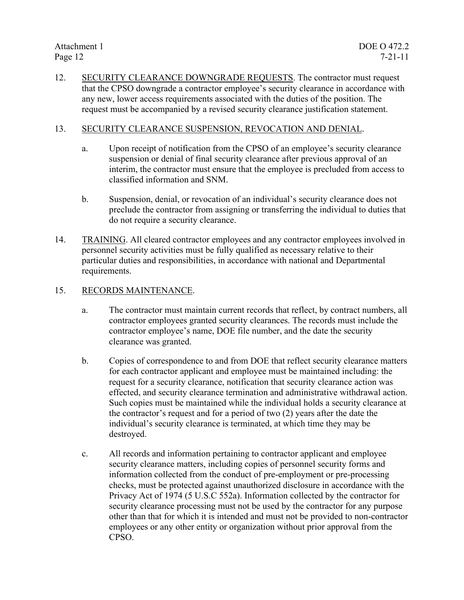12. SECURITY CLEARANCE DOWNGRADE REQUESTS. The contractor must request that the CPSO downgrade a contractor employee's security clearance in accordance with any new, lower access requirements associated with the duties of the position. The request must be accompanied by a revised security clearance justification statement.

#### 13. SECURITY CLEARANCE SUSPENSION, REVOCATION AND DENIAL.

- a. Upon receipt of notification from the CPSO of an employee's security clearance suspension or denial of final security clearance after previous approval of an interim, the contractor must ensure that the employee is precluded from access to classified information and SNM.
- b. Suspension, denial, or revocation of an individual's security clearance does not preclude the contractor from assigning or transferring the individual to duties that do not require a security clearance.
- 14. TRAINING. All cleared contractor employees and any contractor employees involved in personnel security activities must be fully qualified as necessary relative to their particular duties and responsibilities, in accordance with national and Departmental requirements.

#### 15. RECORDS MAINTENANCE.

- a. The contractor must maintain current records that reflect, by contract numbers, all contractor employees granted security clearances. The records must include the contractor employee's name, DOE file number, and the date the security clearance was granted.
- b. Copies of correspondence to and from DOE that reflect security clearance matters for each contractor applicant and employee must be maintained including: the request for a security clearance, notification that security clearance action was effected, and security clearance termination and administrative withdrawal action. Such copies must be maintained while the individual holds a security clearance at the contractor's request and for a period of two (2) years after the date the individual's security clearance is terminated, at which time they may be destroyed.
- c. All records and information pertaining to contractor applicant and employee security clearance matters, including copies of personnel security forms and information collected from the conduct of pre-employment or pre-processing checks, must be protected against unauthorized disclosure in accordance with the Privacy Act of 1974 (5 U.S.C 552a). Information collected by the contractor for security clearance processing must not be used by the contractor for any purpose other than that for which it is intended and must not be provided to non-contractor employees or any other entity or organization without prior approval from the CPSO.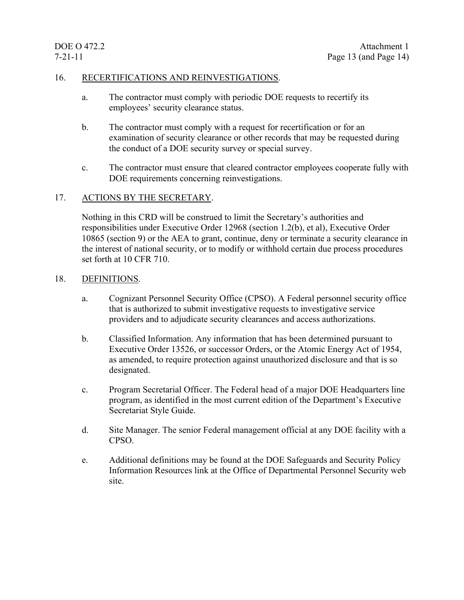#### 16. RECERTIFICATIONS AND REINVESTIGATIONS.

- a. The contractor must comply with periodic DOE requests to recertify its employees' security clearance status.
- b. The contractor must comply with a request for recertification or for an examination of security clearance or other records that may be requested during the conduct of a DOE security survey or special survey.
- c. The contractor must ensure that cleared contractor employees cooperate fully with DOE requirements concerning reinvestigations.

#### 17. ACTIONS BY THE SECRETARY.

Nothing in this CRD will be construed to limit the Secretary's authorities and responsibilities under Executive Order 12968 (section 1.2(b), et al), Executive Order 10865 (section 9) or the AEA to grant, continue, deny or terminate a security clearance in the interest of national security, or to modify or withhold certain due process procedures set forth at 10 CFR 710.

#### 18. DEFINITIONS.

- a. Cognizant Personnel Security Office (CPSO). A Federal personnel security office that is authorized to submit investigative requests to investigative service providers and to adjudicate security clearances and access authorizations.
- b. Classified Information. Any information that has been determined pursuant to Executive Order 13526, or successor Orders, or the Atomic Energy Act of 1954, as amended, to require protection against unauthorized disclosure and that is so designated.
- c. Program Secretarial Officer. The Federal head of a major DOE Headquarters line program, as identified in the most current edition of the Department's Executive Secretariat Style Guide.
- d. Site Manager. The senior Federal management official at any DOE facility with a CPSO.
- e. Additional definitions may be found at the DOE Safeguards and Security Policy Information Resources link at the Office of Departmental Personnel Security web site.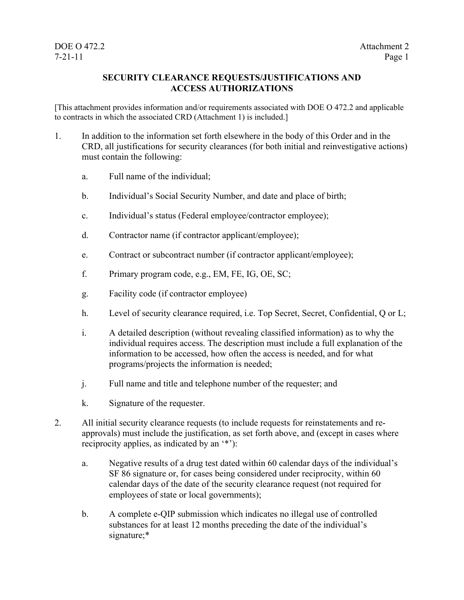#### **SECURITY CLEARANCE REQUESTS/JUSTIFICATIONS AND ACCESS AUTHORIZATIONS**

[This attachment provides information and/or requirements associated with DOE O 472.2 and applicable to contracts in which the associated CRD (Attachment 1) is included.]

- 1. In addition to the information set forth elsewhere in the body of this Order and in the CRD, all justifications for security clearances (for both initial and reinvestigative actions) must contain the following:
	- a. Full name of the individual;
	- b. Individual's Social Security Number, and date and place of birth;
	- c. Individual's status (Federal employee/contractor employee);
	- d. Contractor name (if contractor applicant/employee);
	- e. Contract or subcontract number (if contractor applicant/employee);
	- f. Primary program code, e.g., EM, FE, IG, OE, SC;
	- g. Facility code (if contractor employee)
	- h. Level of security clearance required, i.e. Top Secret, Secret, Confidential, Q or L;
	- i. A detailed description (without revealing classified information) as to why the individual requires access. The description must include a full explanation of the information to be accessed, how often the access is needed, and for what programs/projects the information is needed;
	- j. Full name and title and telephone number of the requester; and
	- k. Signature of the requester.
- 2. All initial security clearance requests (to include requests for reinstatements and reapprovals) must include the justification, as set forth above, and (except in cases where reciprocity applies, as indicated by an '\*'):
	- a. Negative results of a drug test dated within 60 calendar days of the individual's SF 86 signature or, for cases being considered under reciprocity, within 60 calendar days of the date of the security clearance request (not required for employees of state or local governments);
	- b. A complete e-QIP submission which indicates no illegal use of controlled substances for at least 12 months preceding the date of the individual's signature;\*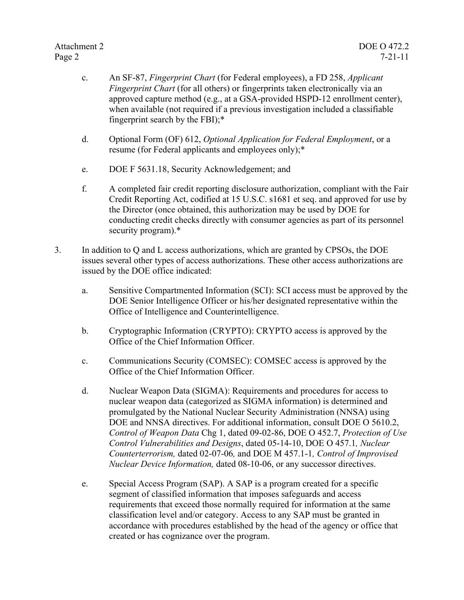- c. An SF-87, *Fingerprint Chart* (for Federal employees), a FD 258, *Applicant Fingerprint Chart* (for all others) or fingerprints taken electronically via an approved capture method (e.g., at a GSA-provided HSPD-12 enrollment center), when available (not required if a previous investigation included a classifiable fingerprint search by the FBI);\*
- d. Optional Form (OF) 612, *Optional Application for Federal Employment*, or a resume (for Federal applicants and employees only);\*
- e. DOE F 5631.18, Security Acknowledgement; and
- f. A completed fair credit reporting disclosure authorization, compliant with the Fair Credit Reporting Act, codified at 15 U.S.C. s1681 et seq. and approved for use by the Director (once obtained, this authorization may be used by DOE for conducting credit checks directly with consumer agencies as part of its personnel security program).\*
- 3. In addition to Q and L access authorizations, which are granted by CPSOs, the DOE issues several other types of access authorizations. These other access authorizations are issued by the DOE office indicated:
	- a. Sensitive Compartmented Information (SCI): SCI access must be approved by the DOE Senior Intelligence Officer or his/her designated representative within the Office of Intelligence and Counterintelligence.
	- b. Cryptographic Information (CRYPTO): CRYPTO access is approved by the Office of the Chief Information Officer.
	- c. Communications Security (COMSEC): COMSEC access is approved by the Office of the Chief Information Officer.
	- d. Nuclear Weapon Data (SIGMA): Requirements and procedures for access to nuclear weapon data (categorized as SIGMA information) is determined and promulgated by the National Nuclear Security Administration (NNSA) using DOE and NNSA directives. For additional information, consult DOE O 5610.2, *Control of Weapon Data* Chg 1, dated 09-02-86, DOE O 452.7, *Protection of Use Control Vulnerabilities and Designs*, dated 05-14-10, DOE O 457.1*, Nuclear Counterterrorism,* dated 02-07-06*,* and DOE M 457.1-1*, Control of Improvised Nuclear Device Information,* dated 08-10-06, or any successor directives.
	- e. Special Access Program (SAP). A SAP is a program created for a specific segment of classified information that imposes safeguards and access requirements that exceed those normally required for information at the same classification level and/or category. Access to any SAP must be granted in accordance with procedures established by the head of the agency or office that created or has cognizance over the program.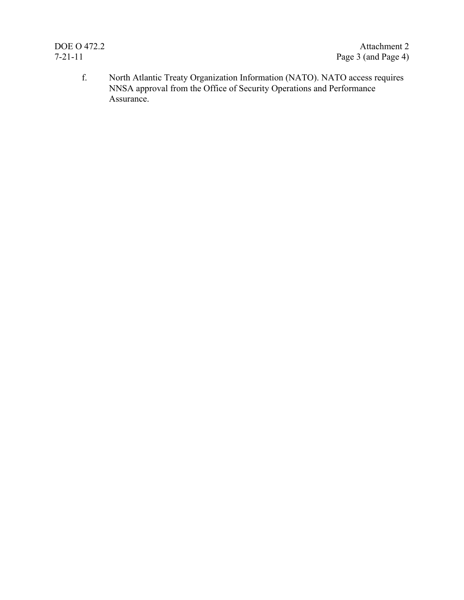f. North Atlantic Treaty Organization Information (NATO). NATO access requires NNSA approval from the Office of Security Operations and Performance Assurance.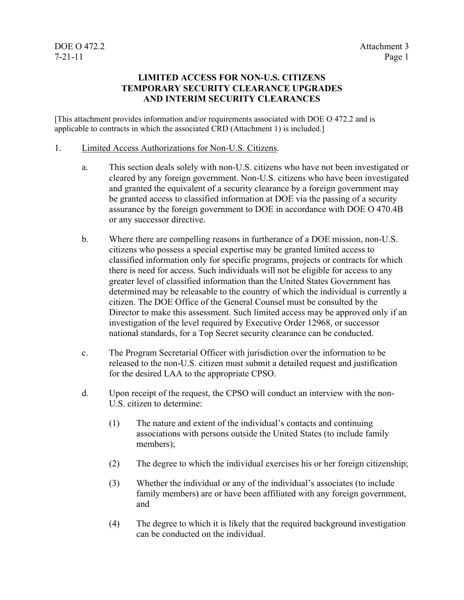#### **LIMITED ACCESS FOR NON-U.S. CITIZENS TEMPORARY SECURITY CLEARANCE UPGRADES AND INTERIM SECURITY CLEARANCES**

[This attachment provides information and/or requirements associated with DOE O 472.2 and is applicable to contracts in which the associated CRD (Attachment 1) is included.]

#### 1. Limited Access Authorizations for Non-U.S. Citizens.

- a. This section deals solely with non-U.S. citizens who have not been investigated or cleared by any foreign government. Non-U.S. citizens who have been investigated and granted the equivalent of a security clearance by a foreign government may be granted access to classified information at DOE via the passing of a security assurance by the foreign government to DOE in accordance with DOE O 470.4B or any successor directive.
- b. Where there are compelling reasons in furtherance of a DOE mission, non-U.S. citizens who possess a special expertise may be granted limited access to classified information only for specific programs, projects or contracts for which there is need for access. Such individuals will not be eligible for access to any greater level of classified information than the United States Government has determined may be releasable to the country of which the individual is currently a citizen. The DOE Office of the General Counsel must be consulted by the Director to make this assessment. Such limited access may be approved only if an investigation of the level required by Executive Order 12968, or successor national standards, for a Top Secret security clearance can be conducted.
- c. The Program Secretarial Officer with jurisdiction over the information to be released to the non-U.S. citizen must submit a detailed request and justification for the desired LAA to the appropriate CPSO.
- d. Upon receipt of the request, the CPSO will conduct an interview with the non-U.S. citizen to determine:
	- (1) The nature and extent of the individual's contacts and continuing associations with persons outside the United States (to include family members);
	- (2) The degree to which the individual exercises his or her foreign citizenship;
	- (3) Whether the individual or any of the individual's associates (to include family members) are or have been affiliated with any foreign government, and
	- (4) The degree to which it is likely that the required background investigation can be conducted on the individual.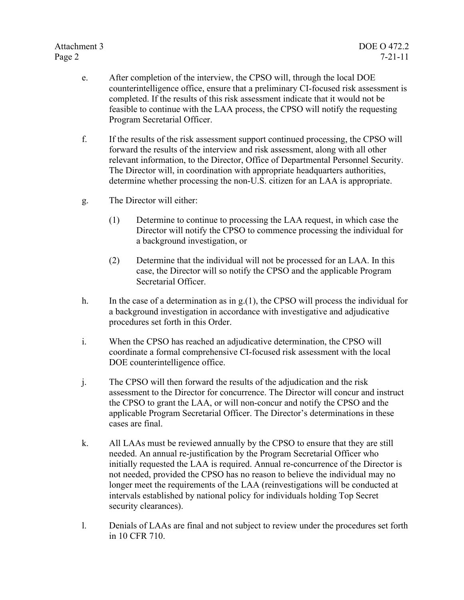- e. After completion of the interview, the CPSO will, through the local DOE counterintelligence office, ensure that a preliminary CI-focused risk assessment is completed. If the results of this risk assessment indicate that it would not be feasible to continue with the LAA process, the CPSO will notify the requesting Program Secretarial Officer.
- f. If the results of the risk assessment support continued processing, the CPSO will forward the results of the interview and risk assessment, along with all other relevant information, to the Director, Office of Departmental Personnel Security. The Director will, in coordination with appropriate headquarters authorities, determine whether processing the non-U.S. citizen for an LAA is appropriate.
- g. The Director will either:
	- (1) Determine to continue to processing the LAA request, in which case the Director will notify the CPSO to commence processing the individual for a background investigation, or
	- (2) Determine that the individual will not be processed for an LAA. In this case, the Director will so notify the CPSO and the applicable Program Secretarial Officer.
- h. In the case of a determination as in  $g(1)$ , the CPSO will process the individual for a background investigation in accordance with investigative and adjudicative procedures set forth in this Order.
- i. When the CPSO has reached an adjudicative determination, the CPSO will coordinate a formal comprehensive CI-focused risk assessment with the local DOE counterintelligence office.
- j. The CPSO will then forward the results of the adjudication and the risk assessment to the Director for concurrence. The Director will concur and instruct the CPSO to grant the LAA, or will non-concur and notify the CPSO and the applicable Program Secretarial Officer. The Director's determinations in these cases are final.
- k. All LAAs must be reviewed annually by the CPSO to ensure that they are still needed. An annual re-justification by the Program Secretarial Officer who initially requested the LAA is required. Annual re-concurrence of the Director is not needed, provided the CPSO has no reason to believe the individual may no longer meet the requirements of the LAA (reinvestigations will be conducted at intervals established by national policy for individuals holding Top Secret security clearances).
- l. Denials of LAAs are final and not subject to review under the procedures set forth in 10 CFR 710.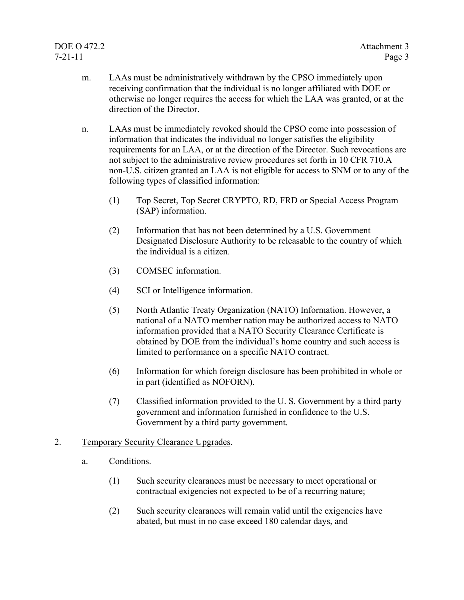- m. LAAs must be administratively withdrawn by the CPSO immediately upon receiving confirmation that the individual is no longer affiliated with DOE or otherwise no longer requires the access for which the LAA was granted, or at the direction of the Director.
- n. LAAs must be immediately revoked should the CPSO come into possession of information that indicates the individual no longer satisfies the eligibility requirements for an LAA, or at the direction of the Director. Such revocations are not subject to the administrative review procedures set forth in 10 CFR 710.A non-U.S. citizen granted an LAA is not eligible for access to SNM or to any of the following types of classified information:
	- (1) Top Secret, Top Secret CRYPTO, RD, FRD or Special Access Program (SAP) information.
	- (2) Information that has not been determined by a U.S. Government Designated Disclosure Authority to be releasable to the country of which the individual is a citizen.
	- (3) COMSEC information.
	- (4) SCI or Intelligence information.
	- (5) North Atlantic Treaty Organization (NATO) Information. However, a national of a NATO member nation may be authorized access to NATO information provided that a NATO Security Clearance Certificate is obtained by DOE from the individual's home country and such access is limited to performance on a specific NATO contract.
	- (6) Information for which foreign disclosure has been prohibited in whole or in part (identified as NOFORN).
	- (7) Classified information provided to the U. S. Government by a third party government and information furnished in confidence to the U.S. Government by a third party government.

#### 2. Temporary Security Clearance Upgrades.

- a. Conditions.
	- (1) Such security clearances must be necessary to meet operational or contractual exigencies not expected to be of a recurring nature;
	- (2) Such security clearances will remain valid until the exigencies have abated, but must in no case exceed 180 calendar days, and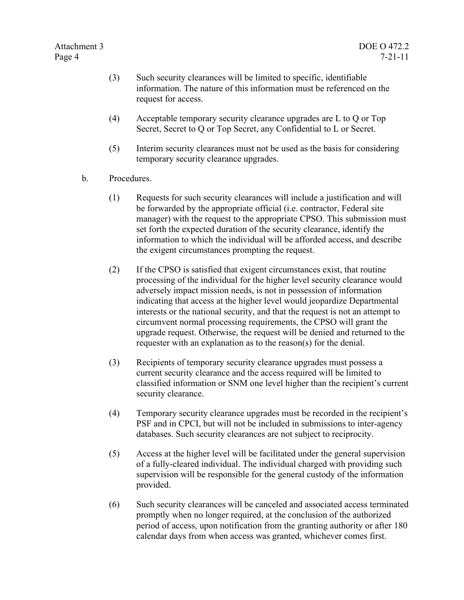- (3) Such security clearances will be limited to specific, identifiable information. The nature of this information must be referenced on the request for access.
- (4) Acceptable temporary security clearance upgrades are L to Q or Top Secret, Secret to Q or Top Secret, any Confidential to L or Secret.
- (5) Interim security clearances must not be used as the basis for considering temporary security clearance upgrades.
- b. Procedures.
	- (1) Requests for such security clearances will include a justification and will be forwarded by the appropriate official (i.e. contractor, Federal site manager) with the request to the appropriate CPSO. This submission must set forth the expected duration of the security clearance, identify the information to which the individual will be afforded access, and describe the exigent circumstances prompting the request.
	- (2) If the CPSO is satisfied that exigent circumstances exist, that routine processing of the individual for the higher level security clearance would adversely impact mission needs, is not in possession of information indicating that access at the higher level would jeopardize Departmental interests or the national security, and that the request is not an attempt to circumvent normal processing requirements, the CPSO will grant the upgrade request. Otherwise, the request will be denied and returned to the requester with an explanation as to the reason(s) for the denial.
	- (3) Recipients of temporary security clearance upgrades must possess a current security clearance and the access required will be limited to classified information or SNM one level higher than the recipient's current security clearance.
	- (4) Temporary security clearance upgrades must be recorded in the recipient's PSF and in CPCI, but will not be included in submissions to inter-agency databases. Such security clearances are not subject to reciprocity.
	- (5) Access at the higher level will be facilitated under the general supervision of a fully-cleared individual. The individual charged with providing such supervision will be responsible for the general custody of the information provided.
	- (6) Such security clearances will be canceled and associated access terminated promptly when no longer required, at the conclusion of the authorized period of access, upon notification from the granting authority or after 180 calendar days from when access was granted, whichever comes first.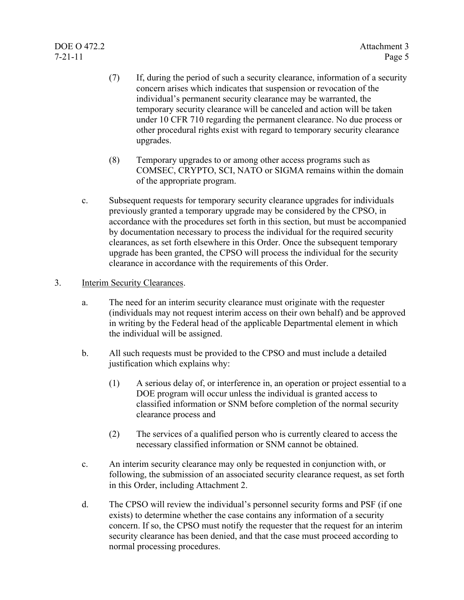- (7) If, during the period of such a security clearance, information of a security concern arises which indicates that suspension or revocation of the individual's permanent security clearance may be warranted, the temporary security clearance will be canceled and action will be taken under 10 CFR 710 regarding the permanent clearance. No due process or other procedural rights exist with regard to temporary security clearance upgrades.
- (8) Temporary upgrades to or among other access programs such as COMSEC, CRYPTO, SCI, NATO or SIGMA remains within the domain of the appropriate program.
- c. Subsequent requests for temporary security clearance upgrades for individuals previously granted a temporary upgrade may be considered by the CPSO, in accordance with the procedures set forth in this section, but must be accompanied by documentation necessary to process the individual for the required security clearances, as set forth elsewhere in this Order. Once the subsequent temporary upgrade has been granted, the CPSO will process the individual for the security clearance in accordance with the requirements of this Order.
- 3. Interim Security Clearances.
	- a. The need for an interim security clearance must originate with the requester (individuals may not request interim access on their own behalf) and be approved in writing by the Federal head of the applicable Departmental element in which the individual will be assigned.
	- b. All such requests must be provided to the CPSO and must include a detailed justification which explains why:
		- (1) A serious delay of, or interference in, an operation or project essential to a DOE program will occur unless the individual is granted access to classified information or SNM before completion of the normal security clearance process and
		- (2) The services of a qualified person who is currently cleared to access the necessary classified information or SNM cannot be obtained.
	- c. An interim security clearance may only be requested in conjunction with, or following, the submission of an associated security clearance request, as set forth in this Order, including Attachment 2.
	- d. The CPSO will review the individual's personnel security forms and PSF (if one exists) to determine whether the case contains any information of a security concern. If so, the CPSO must notify the requester that the request for an interim security clearance has been denied, and that the case must proceed according to normal processing procedures.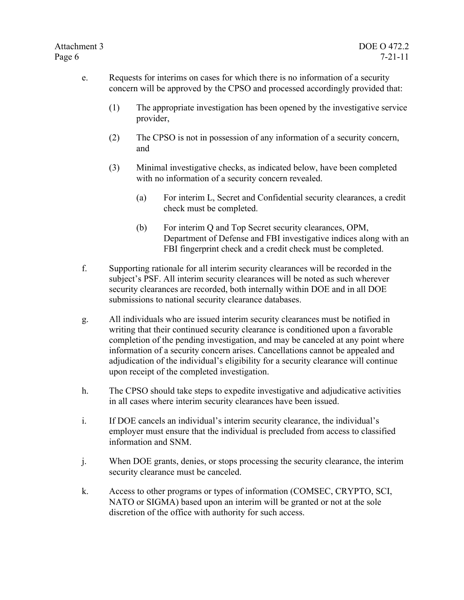- e. Requests for interims on cases for which there is no information of a security concern will be approved by the CPSO and processed accordingly provided that:
	- (1) The appropriate investigation has been opened by the investigative service provider,
	- (2) The CPSO is not in possession of any information of a security concern, and
	- (3) Minimal investigative checks, as indicated below, have been completed with no information of a security concern revealed.
		- (a) For interim L, Secret and Confidential security clearances, a credit check must be completed.
		- (b) For interim Q and Top Secret security clearances, OPM, Department of Defense and FBI investigative indices along with an FBI fingerprint check and a credit check must be completed.
- f. Supporting rationale for all interim security clearances will be recorded in the subject's PSF. All interim security clearances will be noted as such wherever security clearances are recorded, both internally within DOE and in all DOE submissions to national security clearance databases.
- g. All individuals who are issued interim security clearances must be notified in writing that their continued security clearance is conditioned upon a favorable completion of the pending investigation, and may be canceled at any point where information of a security concern arises. Cancellations cannot be appealed and adjudication of the individual's eligibility for a security clearance will continue upon receipt of the completed investigation.
- h. The CPSO should take steps to expedite investigative and adjudicative activities in all cases where interim security clearances have been issued.
- i. If DOE cancels an individual's interim security clearance, the individual's employer must ensure that the individual is precluded from access to classified information and SNM.
- j. When DOE grants, denies, or stops processing the security clearance, the interim security clearance must be canceled.
- k. Access to other programs or types of information (COMSEC, CRYPTO, SCI, NATO or SIGMA) based upon an interim will be granted or not at the sole discretion of the office with authority for such access.